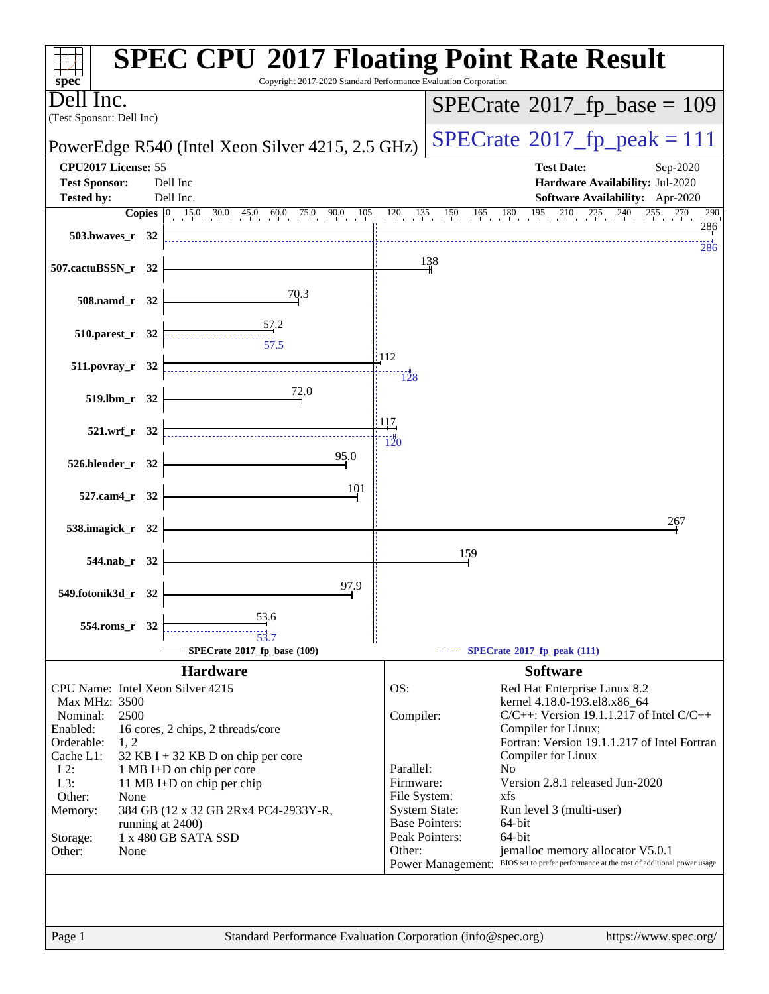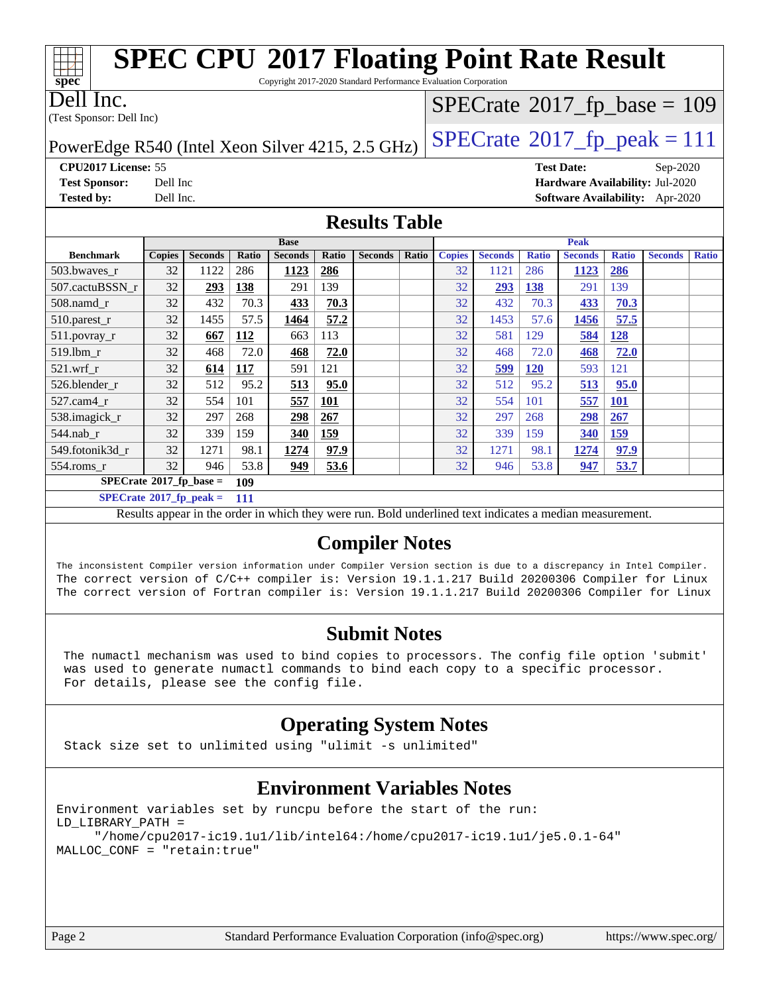

**[SPECrate](http://www.spec.org/auto/cpu2017/Docs/result-fields.html#SPECrate2017fpbase)[2017\\_fp\\_base =](http://www.spec.org/auto/cpu2017/Docs/result-fields.html#SPECrate2017fpbase) 109**

**[SPECrate](http://www.spec.org/auto/cpu2017/Docs/result-fields.html#SPECrate2017fppeak)[2017\\_fp\\_peak =](http://www.spec.org/auto/cpu2017/Docs/result-fields.html#SPECrate2017fppeak) 111**

Results appear in the [order in which they were run.](http://www.spec.org/auto/cpu2017/Docs/result-fields.html#RunOrder) Bold underlined text [indicates a median measurement.](http://www.spec.org/auto/cpu2017/Docs/result-fields.html#Median)

#### **[Compiler Notes](http://www.spec.org/auto/cpu2017/Docs/result-fields.html#CompilerNotes)**

The inconsistent Compiler version information under Compiler Version section is due to a discrepancy in Intel Compiler. The correct version of C/C++ compiler is: Version 19.1.1.217 Build 20200306 Compiler for Linux The correct version of Fortran compiler is: Version 19.1.1.217 Build 20200306 Compiler for Linux

#### **[Submit Notes](http://www.spec.org/auto/cpu2017/Docs/result-fields.html#SubmitNotes)**

 The numactl mechanism was used to bind copies to processors. The config file option 'submit' was used to generate numactl commands to bind each copy to a specific processor. For details, please see the config file.

### **[Operating System Notes](http://www.spec.org/auto/cpu2017/Docs/result-fields.html#OperatingSystemNotes)**

Stack size set to unlimited using "ulimit -s unlimited"

### **[Environment Variables Notes](http://www.spec.org/auto/cpu2017/Docs/result-fields.html#EnvironmentVariablesNotes)**

Environment variables set by runcpu before the start of the run: LD\_LIBRARY\_PATH = "/home/cpu2017-ic19.1u1/lib/intel64:/home/cpu2017-ic19.1u1/je5.0.1-64" MALLOC\_CONF = "retain:true"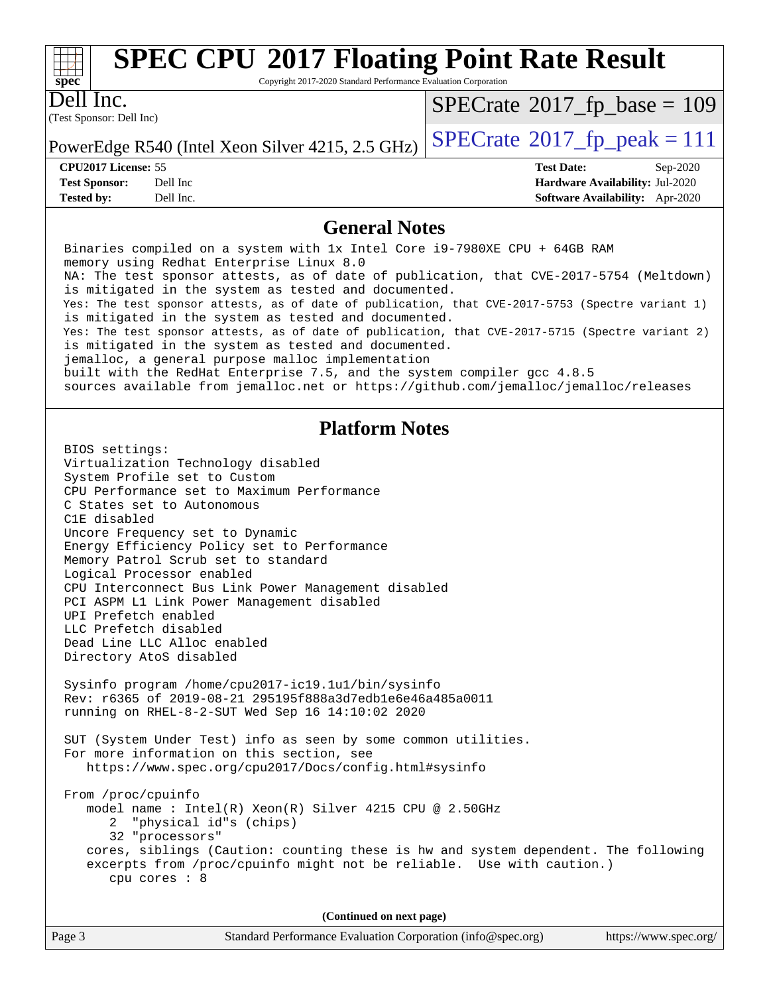

Copyright 2017-2020 Standard Performance Evaluation Corporation

(Test Sponsor: Dell Inc) Dell Inc.

 $SPECTate$ <sup>®</sup>[2017\\_fp\\_base =](http://www.spec.org/auto/cpu2017/Docs/result-fields.html#SPECrate2017fpbase) 109

**[Tested by:](http://www.spec.org/auto/cpu2017/Docs/result-fields.html#Testedby)** Dell Inc. **[Software Availability:](http://www.spec.org/auto/cpu2017/Docs/result-fields.html#SoftwareAvailability)** Apr-2020

PowerEdge R540 (Intel Xeon Silver 4215, 2.5 GHz)  $\left|$  [SPECrate](http://www.spec.org/auto/cpu2017/Docs/result-fields.html#SPECrate2017fppeak)®[2017\\_fp\\_peak = 1](http://www.spec.org/auto/cpu2017/Docs/result-fields.html#SPECrate2017fppeak)11

**[CPU2017 License:](http://www.spec.org/auto/cpu2017/Docs/result-fields.html#CPU2017License)** 55 **[Test Date:](http://www.spec.org/auto/cpu2017/Docs/result-fields.html#TestDate)** Sep-2020 **[Test Sponsor:](http://www.spec.org/auto/cpu2017/Docs/result-fields.html#TestSponsor)** Dell Inc **[Hardware Availability:](http://www.spec.org/auto/cpu2017/Docs/result-fields.html#HardwareAvailability)** Jul-2020

#### **[General Notes](http://www.spec.org/auto/cpu2017/Docs/result-fields.html#GeneralNotes)**

 Binaries compiled on a system with 1x Intel Core i9-7980XE CPU + 64GB RAM memory using Redhat Enterprise Linux 8.0 NA: The test sponsor attests, as of date of publication, that CVE-2017-5754 (Meltdown) is mitigated in the system as tested and documented. Yes: The test sponsor attests, as of date of publication, that CVE-2017-5753 (Spectre variant 1) is mitigated in the system as tested and documented. Yes: The test sponsor attests, as of date of publication, that CVE-2017-5715 (Spectre variant 2) is mitigated in the system as tested and documented. jemalloc, a general purpose malloc implementation built with the RedHat Enterprise 7.5, and the system compiler gcc 4.8.5 sources available from jemalloc.net or<https://github.com/jemalloc/jemalloc/releases> **[Platform Notes](http://www.spec.org/auto/cpu2017/Docs/result-fields.html#PlatformNotes)** BIOS settings: Virtualization Technology disabled System Profile set to Custom CPU Performance set to Maximum Performance C States set to Autonomous C1E disabled Uncore Frequency set to Dynamic Energy Efficiency Policy set to Performance Memory Patrol Scrub set to standard Logical Processor enabled CPU Interconnect Bus Link Power Management disabled PCI ASPM L1 Link Power Management disabled UPI Prefetch enabled LLC Prefetch disabled Dead Line LLC Alloc enabled Directory AtoS disabled Sysinfo program /home/cpu2017-ic19.1u1/bin/sysinfo Rev: r6365 of 2019-08-21 295195f888a3d7edb1e6e46a485a0011 running on RHEL-8-2-SUT Wed Sep 16 14:10:02 2020 SUT (System Under Test) info as seen by some common utilities. For more information on this section, see <https://www.spec.org/cpu2017/Docs/config.html#sysinfo> From /proc/cpuinfo model name : Intel(R) Xeon(R) Silver 4215 CPU @ 2.50GHz 2 "physical id"s (chips) 32 "processors" cores, siblings (Caution: counting these is hw and system dependent. The following excerpts from /proc/cpuinfo might not be reliable. Use with caution.) cpu cores : 8 **(Continued on next page)**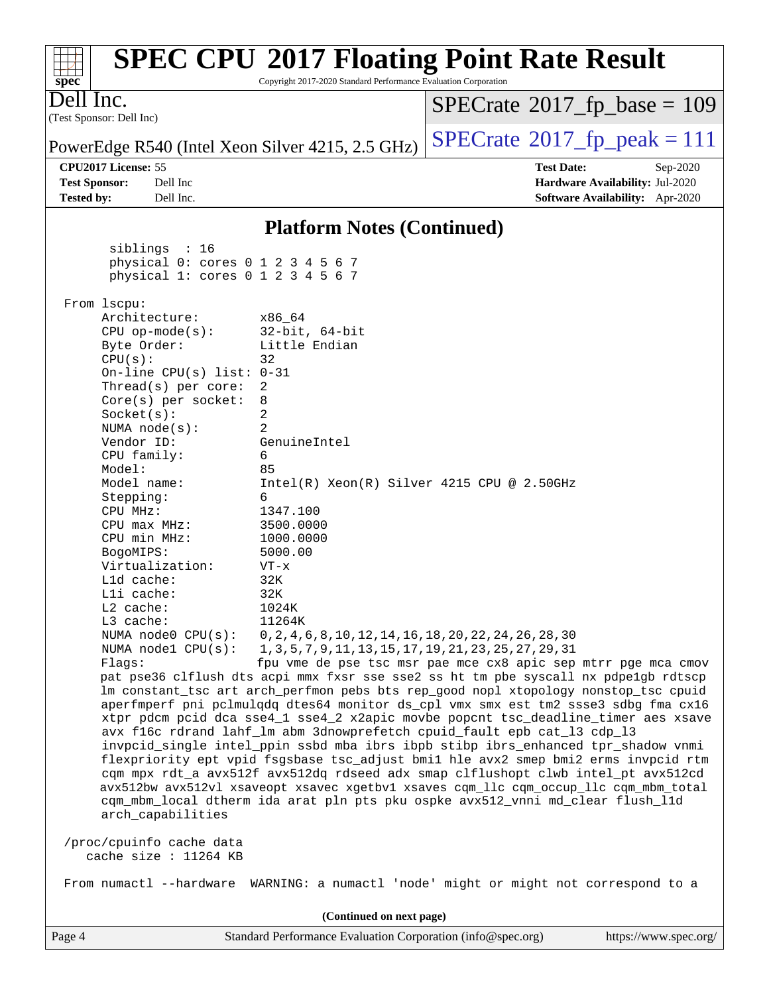| spec <sup>®</sup>                                                                                                                                                                                                                                                                                                                                                                                                                                                                                                                                                                                                                                                                                                                                                                                                                                                                                                                                   | Copyright 2017-2020 Standard Performance Evaluation Corporation | <b>SPEC CPU®2017 Floating Point Rate Result</b>           |                                                                    |
|-----------------------------------------------------------------------------------------------------------------------------------------------------------------------------------------------------------------------------------------------------------------------------------------------------------------------------------------------------------------------------------------------------------------------------------------------------------------------------------------------------------------------------------------------------------------------------------------------------------------------------------------------------------------------------------------------------------------------------------------------------------------------------------------------------------------------------------------------------------------------------------------------------------------------------------------------------|-----------------------------------------------------------------|-----------------------------------------------------------|--------------------------------------------------------------------|
| Dell Inc.                                                                                                                                                                                                                                                                                                                                                                                                                                                                                                                                                                                                                                                                                                                                                                                                                                                                                                                                           |                                                                 | $SPECrate^{\circ}2017$ fp base = 109                      |                                                                    |
| (Test Sponsor: Dell Inc)                                                                                                                                                                                                                                                                                                                                                                                                                                                                                                                                                                                                                                                                                                                                                                                                                                                                                                                            |                                                                 |                                                           |                                                                    |
| PowerEdge R540 (Intel Xeon Silver 4215, 2.5 GHz)                                                                                                                                                                                                                                                                                                                                                                                                                                                                                                                                                                                                                                                                                                                                                                                                                                                                                                    |                                                                 | $SPECTate$ <sup>®</sup> 2017_fp_peak = 111                |                                                                    |
| CPU2017 License: 55                                                                                                                                                                                                                                                                                                                                                                                                                                                                                                                                                                                                                                                                                                                                                                                                                                                                                                                                 |                                                                 | <b>Test Date:</b>                                         | Sep-2020                                                           |
| Dell Inc<br><b>Test Sponsor:</b><br><b>Tested by:</b><br>Dell Inc.                                                                                                                                                                                                                                                                                                                                                                                                                                                                                                                                                                                                                                                                                                                                                                                                                                                                                  |                                                                 |                                                           | Hardware Availability: Jul-2020<br>Software Availability: Apr-2020 |
|                                                                                                                                                                                                                                                                                                                                                                                                                                                                                                                                                                                                                                                                                                                                                                                                                                                                                                                                                     |                                                                 |                                                           |                                                                    |
|                                                                                                                                                                                                                                                                                                                                                                                                                                                                                                                                                                                                                                                                                                                                                                                                                                                                                                                                                     | <b>Platform Notes (Continued)</b>                               |                                                           |                                                                    |
| siblings : 16<br>physical 0: cores 0 1 2 3 4 5 6 7<br>physical 1: cores 0 1 2 3 4 5 6 7                                                                                                                                                                                                                                                                                                                                                                                                                                                                                                                                                                                                                                                                                                                                                                                                                                                             |                                                                 |                                                           |                                                                    |
| From lscpu:                                                                                                                                                                                                                                                                                                                                                                                                                                                                                                                                                                                                                                                                                                                                                                                                                                                                                                                                         |                                                                 |                                                           |                                                                    |
| Architecture:<br>$CPU$ op-mode( $s$ ):                                                                                                                                                                                                                                                                                                                                                                                                                                                                                                                                                                                                                                                                                                                                                                                                                                                                                                              | x86 64<br>$32$ -bit, $64$ -bit                                  |                                                           |                                                                    |
| Byte Order:                                                                                                                                                                                                                                                                                                                                                                                                                                                                                                                                                                                                                                                                                                                                                                                                                                                                                                                                         | Little Endian                                                   |                                                           |                                                                    |
| CPU(s):<br>32<br>On-line CPU(s) list: $0-31$                                                                                                                                                                                                                                                                                                                                                                                                                                                                                                                                                                                                                                                                                                                                                                                                                                                                                                        |                                                                 |                                                           |                                                                    |
| Thread( $s$ ) per core:<br>2                                                                                                                                                                                                                                                                                                                                                                                                                                                                                                                                                                                                                                                                                                                                                                                                                                                                                                                        |                                                                 |                                                           |                                                                    |
| $Core(s)$ per socket:<br>8<br>Socket(s):<br>2                                                                                                                                                                                                                                                                                                                                                                                                                                                                                                                                                                                                                                                                                                                                                                                                                                                                                                       |                                                                 |                                                           |                                                                    |
| NUMA $node(s):$<br>2                                                                                                                                                                                                                                                                                                                                                                                                                                                                                                                                                                                                                                                                                                                                                                                                                                                                                                                                |                                                                 |                                                           |                                                                    |
| Vendor ID:                                                                                                                                                                                                                                                                                                                                                                                                                                                                                                                                                                                                                                                                                                                                                                                                                                                                                                                                          | GenuineIntel                                                    |                                                           |                                                                    |
| CPU family:<br>6<br>Model:<br>85                                                                                                                                                                                                                                                                                                                                                                                                                                                                                                                                                                                                                                                                                                                                                                                                                                                                                                                    |                                                                 |                                                           |                                                                    |
| Model name:                                                                                                                                                                                                                                                                                                                                                                                                                                                                                                                                                                                                                                                                                                                                                                                                                                                                                                                                         | Intel(R) Xeon(R) Silver 4215 CPU @ 2.50GHz                      |                                                           |                                                                    |
| 6<br>Stepping:<br>CPU MHz:                                                                                                                                                                                                                                                                                                                                                                                                                                                                                                                                                                                                                                                                                                                                                                                                                                                                                                                          | 1347.100                                                        |                                                           |                                                                    |
| $CPU$ max $MHz$ :                                                                                                                                                                                                                                                                                                                                                                                                                                                                                                                                                                                                                                                                                                                                                                                                                                                                                                                                   | 3500.0000                                                       |                                                           |                                                                    |
| CPU min MHz:                                                                                                                                                                                                                                                                                                                                                                                                                                                                                                                                                                                                                                                                                                                                                                                                                                                                                                                                        | 1000.0000                                                       |                                                           |                                                                    |
| BogoMIPS:<br>Virtualization:                                                                                                                                                                                                                                                                                                                                                                                                                                                                                                                                                                                                                                                                                                                                                                                                                                                                                                                        | 5000.00<br>$VT - x$                                             |                                                           |                                                                    |
| L1d cache:                                                                                                                                                                                                                                                                                                                                                                                                                                                                                                                                                                                                                                                                                                                                                                                                                                                                                                                                          | 32K                                                             |                                                           |                                                                    |
| Lli cache:                                                                                                                                                                                                                                                                                                                                                                                                                                                                                                                                                                                                                                                                                                                                                                                                                                                                                                                                          | 32K                                                             |                                                           |                                                                    |
| L2 cache:<br>L3 cache:                                                                                                                                                                                                                                                                                                                                                                                                                                                                                                                                                                                                                                                                                                                                                                                                                                                                                                                              | 1024K<br>11264K                                                 |                                                           |                                                                    |
| NUMA $node0$ $CPU(s)$ :                                                                                                                                                                                                                                                                                                                                                                                                                                                                                                                                                                                                                                                                                                                                                                                                                                                                                                                             |                                                                 | 0, 2, 4, 6, 8, 10, 12, 14, 16, 18, 20, 22, 24, 26, 28, 30 |                                                                    |
| NUMA nodel CPU(s):                                                                                                                                                                                                                                                                                                                                                                                                                                                                                                                                                                                                                                                                                                                                                                                                                                                                                                                                  |                                                                 | 1, 3, 5, 7, 9, 11, 13, 15, 17, 19, 21, 23, 25, 27, 29, 31 |                                                                    |
| fpu vme de pse tsc msr pae mce cx8 apic sep mtrr pge mca cmov<br>Flaqs:<br>pat pse36 clflush dts acpi mmx fxsr sse sse2 ss ht tm pbe syscall nx pdpelgb rdtscp<br>lm constant_tsc art arch_perfmon pebs bts rep_good nopl xtopology nonstop_tsc cpuid<br>aperfmperf pni pclmulqdq dtes64 monitor ds_cpl vmx smx est tm2 ssse3 sdbg fma cx16<br>xtpr pdcm pcid dca sse4_1 sse4_2 x2apic movbe popcnt tsc_deadline_timer aes xsave<br>avx f16c rdrand lahf_lm abm 3dnowprefetch cpuid_fault epb cat_13 cdp_13<br>invpcid_single intel_ppin ssbd mba ibrs ibpb stibp ibrs_enhanced tpr_shadow vnmi<br>flexpriority ept vpid fsgsbase tsc_adjust bmil hle avx2 smep bmi2 erms invpcid rtm<br>cqm mpx rdt_a avx512f avx512dq rdseed adx smap clflushopt clwb intel_pt avx512cd<br>avx512bw avx512vl xsaveopt xsavec xgetbvl xsaves cqm_llc cqm_occup_llc cqm_mbm_total<br>cqm_mbm_local dtherm ida arat pln pts pku ospke avx512_vnni md_clear flush_l1d |                                                                 |                                                           |                                                                    |
| arch_capabilities                                                                                                                                                                                                                                                                                                                                                                                                                                                                                                                                                                                                                                                                                                                                                                                                                                                                                                                                   |                                                                 |                                                           |                                                                    |
| /proc/cpuinfo cache data<br>cache size : $11264$ KB                                                                                                                                                                                                                                                                                                                                                                                                                                                                                                                                                                                                                                                                                                                                                                                                                                                                                                 |                                                                 |                                                           |                                                                    |
| From numactl --hardware WARNING: a numactl 'node' might or might not correspond to a                                                                                                                                                                                                                                                                                                                                                                                                                                                                                                                                                                                                                                                                                                                                                                                                                                                                |                                                                 |                                                           |                                                                    |
| (Continued on next page)                                                                                                                                                                                                                                                                                                                                                                                                                                                                                                                                                                                                                                                                                                                                                                                                                                                                                                                            |                                                                 |                                                           |                                                                    |
| Page 4                                                                                                                                                                                                                                                                                                                                                                                                                                                                                                                                                                                                                                                                                                                                                                                                                                                                                                                                              | Standard Performance Evaluation Corporation (info@spec.org)     |                                                           | https://www.spec.org/                                              |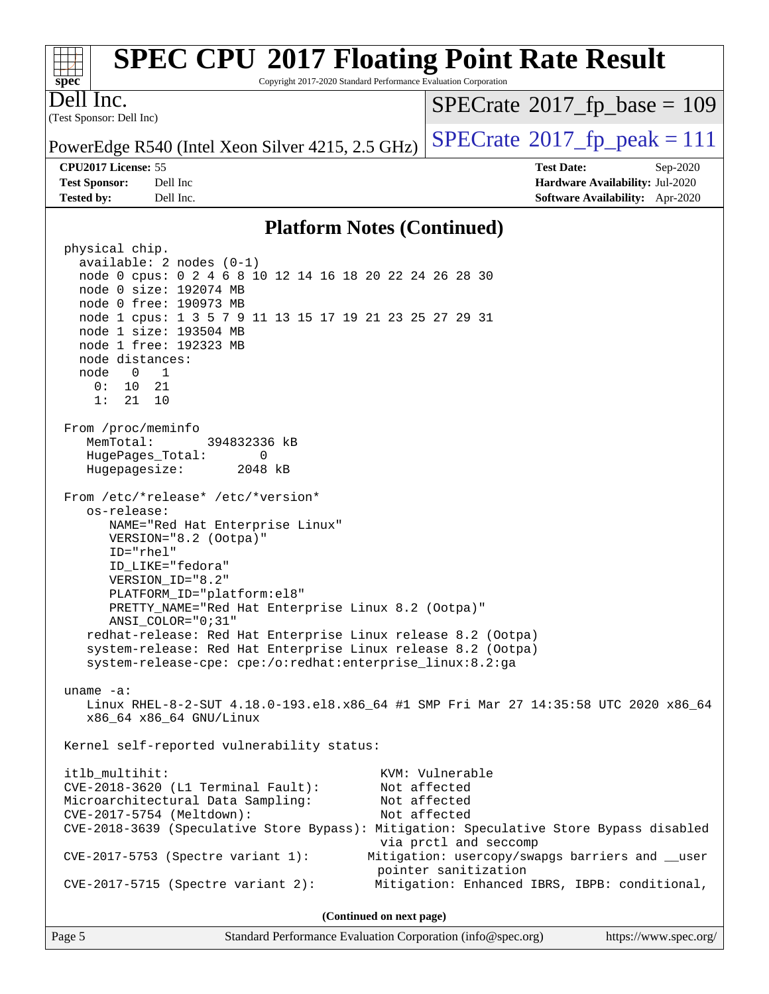

#### **[Platform Notes \(Continued\)](http://www.spec.org/auto/cpu2017/Docs/result-fields.html#PlatformNotes)**

 physical chip. available: 2 nodes (0-1) node 0 cpus: 0 2 4 6 8 10 12 14 16 18 20 22 24 26 28 30 node 0 size: 192074 MB node 0 free: 190973 MB node 1 cpus: 1 3 5 7 9 11 13 15 17 19 21 23 25 27 29 31 node 1 size: 193504 MB node 1 free: 192323 MB node distances: node 0 1 0: 10 21 1: 21 10 From /proc/meminfo MemTotal: 394832336 kB HugePages\_Total: 0 Hugepagesize: 2048 kB From /etc/\*release\* /etc/\*version\* os-release: NAME="Red Hat Enterprise Linux" VERSION="8.2 (Ootpa)" ID="rhel" ID\_LIKE="fedora" VERSION\_ID="8.2" PLATFORM\_ID="platform:el8" PRETTY\_NAME="Red Hat Enterprise Linux 8.2 (Ootpa)" ANSI\_COLOR="0;31" redhat-release: Red Hat Enterprise Linux release 8.2 (Ootpa) system-release: Red Hat Enterprise Linux release 8.2 (Ootpa) system-release-cpe: cpe:/o:redhat:enterprise\_linux:8.2:ga uname -a: Linux RHEL-8-2-SUT 4.18.0-193.el8.x86\_64 #1 SMP Fri Mar 27 14:35:58 UTC 2020 x86\_64 x86\_64 x86\_64 GNU/Linux Kernel self-reported vulnerability status: itlb\_multihit: KVM: Vulnerable CVE-2018-3620 (L1 Terminal Fault): Not affected Microarchitectural Data Sampling: Not affected CVE-2017-5754 (Meltdown): Not affected CVE-2018-3639 (Speculative Store Bypass): Mitigation: Speculative Store Bypass disabled via prctl and seccomp CVE-2017-5753 (Spectre variant 1): Mitigation: usercopy/swapgs barriers and \_\_user pointer sanitization CVE-2017-5715 (Spectre variant 2): Mitigation: Enhanced IBRS, IBPB: conditional, **(Continued on next page)**

Page 5 Standard Performance Evaluation Corporation [\(info@spec.org\)](mailto:info@spec.org) <https://www.spec.org/>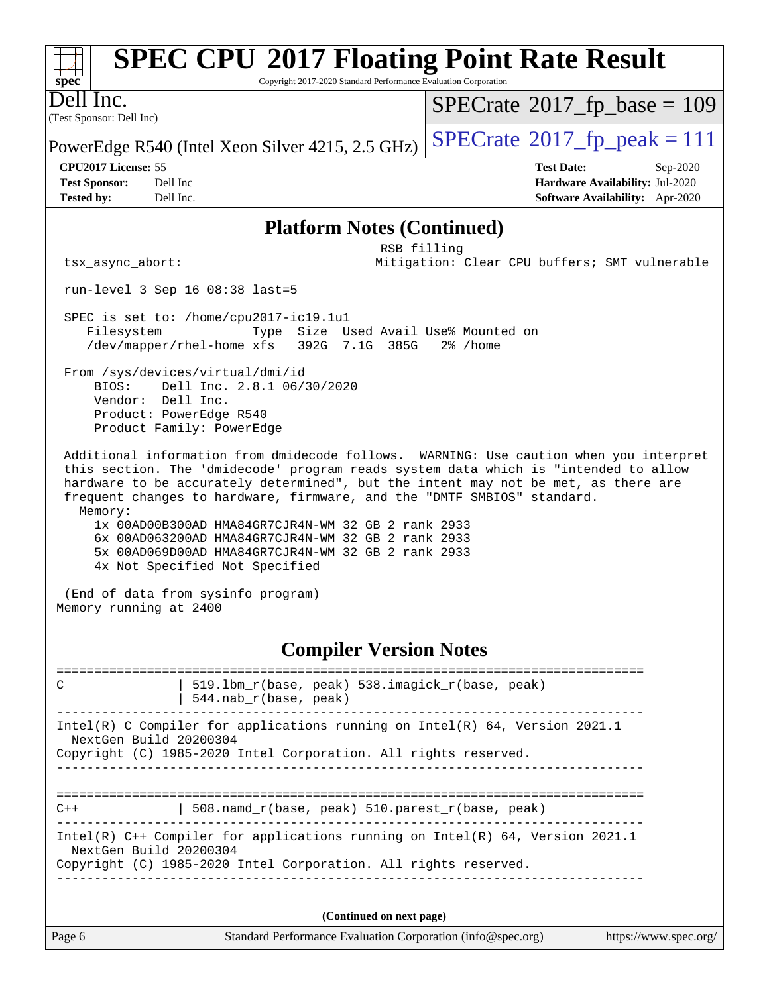|           | <b>SPEC CPU®2017 Floating Point Rate Result</b>                 |                                              |
|-----------|-----------------------------------------------------------------|----------------------------------------------|
| $Spec^*$  | Copyright 2017-2020 Standard Performance Evaluation Corporation |                                              |
| Dell Inc. |                                                                 | $ SPECrate^{\circledast}2017_fp\_base = 109$ |
|           | (Test Sponsor: Dell Inc)                                        |                                              |

PowerEdge R540 (Intel Xeon Silver 4215, 2.5 GHz)  $\left|$  [SPECrate](http://www.spec.org/auto/cpu2017/Docs/result-fields.html#SPECrate2017fppeak)<sup>®</sup>[2017\\_fp\\_peak = 1](http://www.spec.org/auto/cpu2017/Docs/result-fields.html#SPECrate2017fppeak)11

**[Tested by:](http://www.spec.org/auto/cpu2017/Docs/result-fields.html#Testedby)** Dell Inc. **[Software Availability:](http://www.spec.org/auto/cpu2017/Docs/result-fields.html#SoftwareAvailability)** Apr-2020

**[CPU2017 License:](http://www.spec.org/auto/cpu2017/Docs/result-fields.html#CPU2017License)** 55 **[Test Date:](http://www.spec.org/auto/cpu2017/Docs/result-fields.html#TestDate)** Sep-2020 **[Test Sponsor:](http://www.spec.org/auto/cpu2017/Docs/result-fields.html#TestSponsor)** Dell Inc **[Hardware Availability:](http://www.spec.org/auto/cpu2017/Docs/result-fields.html#HardwareAvailability)** Jul-2020

#### **[Platform Notes \(Continued\)](http://www.spec.org/auto/cpu2017/Docs/result-fields.html#PlatformNotes)**

 RSB filling tsx\_async\_abort: Mitigation: Clear CPU buffers; SMT vulnerable

run-level 3 Sep 16 08:38 last=5

 SPEC is set to: /home/cpu2017-ic19.1u1 Filesystem Type Size Used Avail Use% Mounted on /dev/mapper/rhel-home xfs 392G 7.1G 385G 2% /home

 From /sys/devices/virtual/dmi/id BIOS: Dell Inc. 2.8.1 06/30/2020 Vendor: Dell Inc. Product: PowerEdge R540 Product Family: PowerEdge

 Additional information from dmidecode follows. WARNING: Use caution when you interpret this section. The 'dmidecode' program reads system data which is "intended to allow hardware to be accurately determined", but the intent may not be met, as there are frequent changes to hardware, firmware, and the "DMTF SMBIOS" standard. Memory:

 1x 00AD00B300AD HMA84GR7CJR4N-WM 32 GB 2 rank 2933 6x 00AD063200AD HMA84GR7CJR4N-WM 32 GB 2 rank 2933 5x 00AD069D00AD HMA84GR7CJR4N-WM 32 GB 2 rank 2933 4x Not Specified Not Specified

 (End of data from sysinfo program) Memory running at 2400

#### **[Compiler Version Notes](http://www.spec.org/auto/cpu2017/Docs/result-fields.html#CompilerVersionNotes)**

Page 6 Standard Performance Evaluation Corporation [\(info@spec.org\)](mailto:info@spec.org) <https://www.spec.org/> ============================================================================== C | 519.lbm\_r(base, peak) 538.imagick\_r(base, peak) | 544.nab\_r(base, peak) ------------------------------------------------------------------------------ Intel(R) C Compiler for applications running on Intel(R) 64, Version 2021.1 NextGen Build 20200304 Copyright (C) 1985-2020 Intel Corporation. All rights reserved. ============================================================================== C++ | 508.namd\_r(base, peak) 510.parest\_r(base, peak) ------------------------------------------------------------------------------ Intel(R) C++ Compiler for applications running on Intel(R) 64, Version 2021.1 NextGen Build 20200304 Copyright (C) 1985-2020 Intel Corporation. All rights reserved. ------------------------------------------------------------------------------ **(Continued on next page)**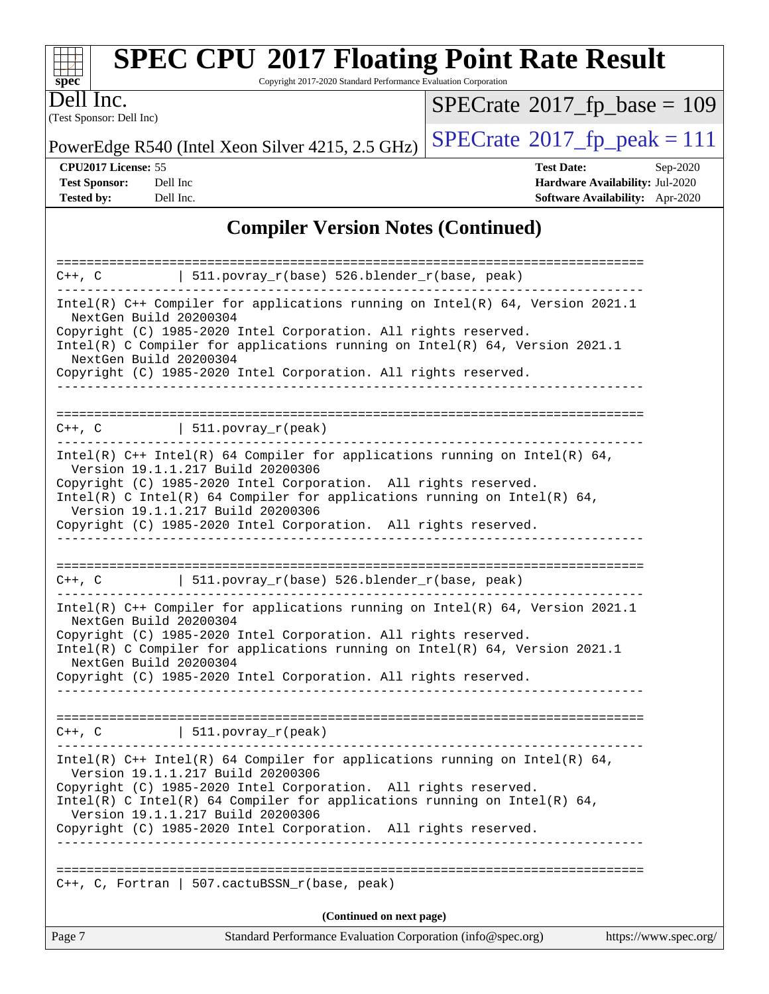

Copyright 2017-2020 Standard Performance Evaluation Corporation

(Test Sponsor: Dell Inc) Dell Inc.

 $SPECrate$ <sup>®</sup>[2017\\_fp\\_base =](http://www.spec.org/auto/cpu2017/Docs/result-fields.html#SPECrate2017fpbase) 109

PowerEdge R540 (Intel Xeon Silver 4215, 2.5 GHz)  $\left|$  [SPECrate](http://www.spec.org/auto/cpu2017/Docs/result-fields.html#SPECrate2017fppeak)®[2017\\_fp\\_peak = 1](http://www.spec.org/auto/cpu2017/Docs/result-fields.html#SPECrate2017fppeak)11

**[CPU2017 License:](http://www.spec.org/auto/cpu2017/Docs/result-fields.html#CPU2017License)** 55 **[Test Date:](http://www.spec.org/auto/cpu2017/Docs/result-fields.html#TestDate)** Sep-2020 **[Test Sponsor:](http://www.spec.org/auto/cpu2017/Docs/result-fields.html#TestSponsor)** Dell Inc **[Hardware Availability:](http://www.spec.org/auto/cpu2017/Docs/result-fields.html#HardwareAvailability)** Jul-2020 **[Tested by:](http://www.spec.org/auto/cpu2017/Docs/result-fields.html#Testedby)** Dell Inc. **[Software Availability:](http://www.spec.org/auto/cpu2017/Docs/result-fields.html#SoftwareAvailability)** Apr-2020

### **[Compiler Version Notes \(Continued\)](http://www.spec.org/auto/cpu2017/Docs/result-fields.html#CompilerVersionNotes)**

| Page 7                                           | Standard Performance Evaluation Corporation (info@spec.org)                                                                                                                                                                                                                                           | https://www.spec.org/ |
|--------------------------------------------------|-------------------------------------------------------------------------------------------------------------------------------------------------------------------------------------------------------------------------------------------------------------------------------------------------------|-----------------------|
|                                                  | (Continued on next page)                                                                                                                                                                                                                                                                              |                       |
| $C_{++}$ , C, Fortran                            | 507.cactuBSSN_r(base, peak)                                                                                                                                                                                                                                                                           |                       |
|                                                  | Intel(R) C Intel(R) 64 Compiler for applications running on Intel(R) 64,<br>Version 19.1.1.217 Build 20200306<br>Copyright (C) 1985-2020 Intel Corporation. All rights reserved.                                                                                                                      |                       |
|                                                  | Intel(R) $C++$ Intel(R) 64 Compiler for applications running on Intel(R) 64,<br>Version 19.1.1.217 Build 20200306<br>Copyright (C) 1985-2020 Intel Corporation. All rights reserved.                                                                                                                  |                       |
|                                                  | $C++$ , C   511.povray_r(peak)                                                                                                                                                                                                                                                                        |                       |
| NextGen Build 20200304                           | Copyright (C) 1985-2020 Intel Corporation. All rights reserved.                                                                                                                                                                                                                                       |                       |
| NextGen Build 20200304                           | Intel(R) $C++$ Compiler for applications running on Intel(R) 64, Version 2021.1<br>Copyright (C) 1985-2020 Intel Corporation. All rights reserved.<br>Intel(R) C Compiler for applications running on Intel(R) $64$ , Version 2021.1                                                                  |                       |
|                                                  | $C++$ , C $\qquad$   511.povray_r(base) 526.blender_r(base, peak)                                                                                                                                                                                                                                     |                       |
|                                                  | Copyright (C) 1985-2020 Intel Corporation. All rights reserved.                                                                                                                                                                                                                                       |                       |
|                                                  | Intel(R) $C++$ Intel(R) 64 Compiler for applications running on Intel(R) 64,<br>Version 19.1.1.217 Build 20200306<br>Copyright (C) 1985-2020 Intel Corporation. All rights reserved.<br>Intel(R) C Intel(R) 64 Compiler for applications running on Intel(R) 64,<br>Version 19.1.1.217 Build 20200306 |                       |
|                                                  | $C++$ , C $\qquad \qquad \vert$ 511.povray_r(peak)                                                                                                                                                                                                                                                    |                       |
|                                                  |                                                                                                                                                                                                                                                                                                       |                       |
| NextGen Build 20200304<br>NextGen Build 20200304 | Copyright (C) 1985-2020 Intel Corporation. All rights reserved.<br>Intel(R) C Compiler for applications running on Intel(R) $64$ , Version 2021.1<br>Copyright (C) 1985-2020 Intel Corporation. All rights reserved.                                                                                  |                       |
|                                                  | 511.povray_r(base) 526.blender_r(base, peak)<br>Intel(R) $C++$ Compiler for applications running on Intel(R) 64, Version 2021.1                                                                                                                                                                       |                       |
| $C++$ , $C$                                      |                                                                                                                                                                                                                                                                                                       |                       |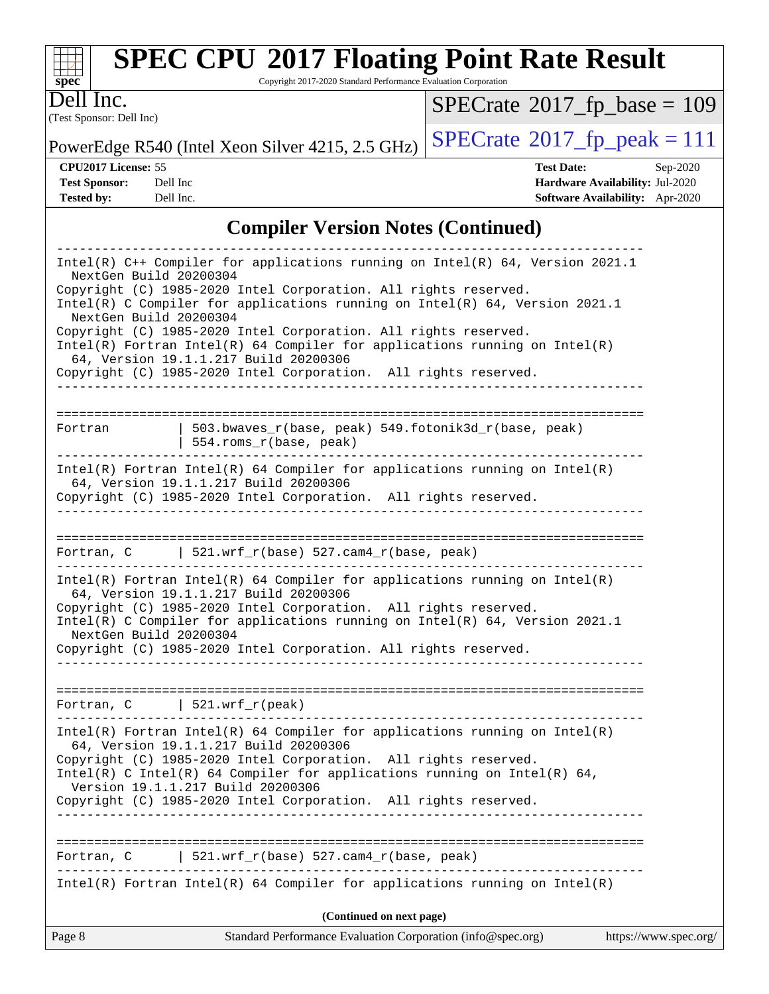

Copyright 2017-2020 Standard Performance Evaluation Corporation

(Test Sponsor: Dell Inc) Dell Inc.

 $SPECrate$ <sup>®</sup>[2017\\_fp\\_base =](http://www.spec.org/auto/cpu2017/Docs/result-fields.html#SPECrate2017fpbase) 109

PowerEdge R540 (Intel Xeon Silver 4215, 2.5 GHz)  $\left|$  [SPECrate](http://www.spec.org/auto/cpu2017/Docs/result-fields.html#SPECrate2017fppeak)®[2017\\_fp\\_peak = 1](http://www.spec.org/auto/cpu2017/Docs/result-fields.html#SPECrate2017fppeak)11

**[CPU2017 License:](http://www.spec.org/auto/cpu2017/Docs/result-fields.html#CPU2017License)** 55 **[Test Date:](http://www.spec.org/auto/cpu2017/Docs/result-fields.html#TestDate)** Sep-2020

**[Test Sponsor:](http://www.spec.org/auto/cpu2017/Docs/result-fields.html#TestSponsor)** Dell Inc **[Hardware Availability:](http://www.spec.org/auto/cpu2017/Docs/result-fields.html#HardwareAvailability)** Jul-2020 **[Tested by:](http://www.spec.org/auto/cpu2017/Docs/result-fields.html#Testedby)** Dell Inc. **[Software Availability:](http://www.spec.org/auto/cpu2017/Docs/result-fields.html#SoftwareAvailability)** Apr-2020

#### **[Compiler Version Notes \(Continued\)](http://www.spec.org/auto/cpu2017/Docs/result-fields.html#CompilerVersionNotes)**

| Page 8                                                                                                                                                                                                                                                                                                                                                               | (Continued on next page)<br>Standard Performance Evaluation Corporation (info@spec.org)                                                                                                                                                                                                                                                       | https://www.spec.org/ |  |  |
|----------------------------------------------------------------------------------------------------------------------------------------------------------------------------------------------------------------------------------------------------------------------------------------------------------------------------------------------------------------------|-----------------------------------------------------------------------------------------------------------------------------------------------------------------------------------------------------------------------------------------------------------------------------------------------------------------------------------------------|-----------------------|--|--|
|                                                                                                                                                                                                                                                                                                                                                                      |                                                                                                                                                                                                                                                                                                                                               |                       |  |  |
|                                                                                                                                                                                                                                                                                                                                                                      | $Intel(R)$ Fortran Intel(R) 64 Compiler for applications running on Intel(R)                                                                                                                                                                                                                                                                  |                       |  |  |
| Fortran, C                                                                                                                                                                                                                                                                                                                                                           | $521.wrf_r(base) 527.cam4_r(base, peak)$                                                                                                                                                                                                                                                                                                      |                       |  |  |
|                                                                                                                                                                                                                                                                                                                                                                      | 64, Version 19.1.1.217 Build 20200306<br>Copyright (C) 1985-2020 Intel Corporation. All rights reserved.<br>Intel(R) C Intel(R) 64 Compiler for applications running on Intel(R) 64,<br>Version 19.1.1.217 Build 20200306<br>Copyright (C) 1985-2020 Intel Corporation. All rights reserved.                                                  |                       |  |  |
| -----------------                                                                                                                                                                                                                                                                                                                                                    | $Intel(R)$ Fortran Intel(R) 64 Compiler for applications running on Intel(R)                                                                                                                                                                                                                                                                  |                       |  |  |
|                                                                                                                                                                                                                                                                                                                                                                      | Fortran, $C$   521.wrf_r(peak)                                                                                                                                                                                                                                                                                                                |                       |  |  |
| $Intel(R)$ Fortran Intel(R) 64 Compiler for applications running on Intel(R)<br>64, Version 19.1.1.217 Build 20200306<br>Copyright (C) 1985-2020 Intel Corporation. All rights reserved.<br>Intel(R) C Compiler for applications running on Intel(R) 64, Version 2021.1<br>NextGen Build 20200304<br>Copyright (C) 1985-2020 Intel Corporation. All rights reserved. |                                                                                                                                                                                                                                                                                                                                               |                       |  |  |
|                                                                                                                                                                                                                                                                                                                                                                      | Fortran, C   521.wrf_r(base) $527$ .cam4_r(base, peak)                                                                                                                                                                                                                                                                                        |                       |  |  |
|                                                                                                                                                                                                                                                                                                                                                                      | -------------------------------------<br>$Intel(R)$ Fortran Intel(R) 64 Compiler for applications running on Intel(R)<br>64, Version 19.1.1.217 Build 20200306<br>Copyright (C) 1985-2020 Intel Corporation. All rights reserved.                                                                                                             |                       |  |  |
| Fortran                                                                                                                                                                                                                                                                                                                                                              | 503.bwaves_r(base, peak) 549.fotonik3d_r(base, peak)<br>  554.roms_r(base, peak)                                                                                                                                                                                                                                                              |                       |  |  |
| NextGen Build 20200304                                                                                                                                                                                                                                                                                                                                               | Intel(R) C Compiler for applications running on $Intel(R) 64$ , Version 2021.1<br>Copyright (C) 1985-2020 Intel Corporation. All rights reserved.<br>$Intel(R)$ Fortran Intel(R) 64 Compiler for applications running on Intel(R)<br>64, Version 19.1.1.217 Build 20200306<br>Copyright (C) 1985-2020 Intel Corporation. All rights reserved. |                       |  |  |
| NextGen Build 20200304                                                                                                                                                                                                                                                                                                                                               | Intel(R) $C++$ Compiler for applications running on Intel(R) 64, Version 2021.1<br>Copyright (C) 1985-2020 Intel Corporation. All rights reserved.                                                                                                                                                                                            |                       |  |  |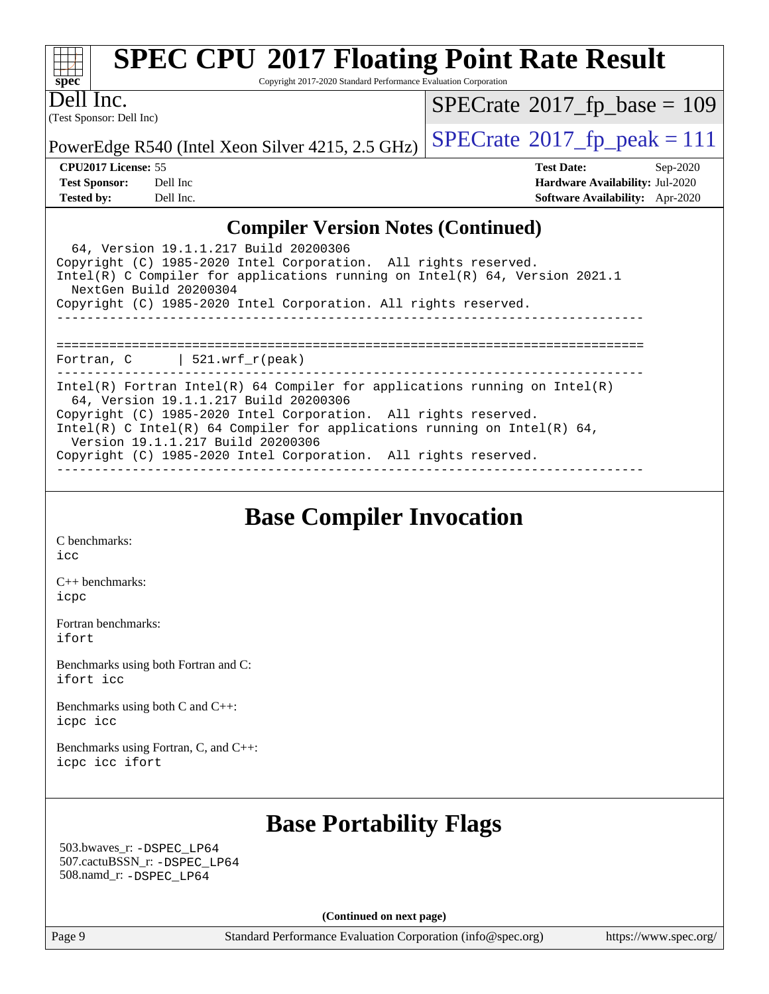

Copyright 2017-2020 Standard Performance Evaluation Corporation

(Test Sponsor: Dell Inc) Dell Inc.

 $SPECrate$ <sup>®</sup>[2017\\_fp\\_base =](http://www.spec.org/auto/cpu2017/Docs/result-fields.html#SPECrate2017fpbase) 109

PowerEdge R540 (Intel Xeon Silver 4215, 2.5 GHz)  $\left|$  [SPECrate](http://www.spec.org/auto/cpu2017/Docs/result-fields.html#SPECrate2017fppeak)<sup>®</sup>[2017\\_fp\\_peak = 1](http://www.spec.org/auto/cpu2017/Docs/result-fields.html#SPECrate2017fppeak)11

**[CPU2017 License:](http://www.spec.org/auto/cpu2017/Docs/result-fields.html#CPU2017License)** 55 **[Test Date:](http://www.spec.org/auto/cpu2017/Docs/result-fields.html#TestDate)** Sep-2020 **[Test Sponsor:](http://www.spec.org/auto/cpu2017/Docs/result-fields.html#TestSponsor)** Dell Inc **[Hardware Availability:](http://www.spec.org/auto/cpu2017/Docs/result-fields.html#HardwareAvailability)** Jul-2020 **[Tested by:](http://www.spec.org/auto/cpu2017/Docs/result-fields.html#Testedby)** Dell Inc. **[Software Availability:](http://www.spec.org/auto/cpu2017/Docs/result-fields.html#SoftwareAvailability)** Apr-2020

#### **[Compiler Version Notes \(Continued\)](http://www.spec.org/auto/cpu2017/Docs/result-fields.html#CompilerVersionNotes)**

| 64, Version 19.1.1.217 Build 20200306<br>Copyright (C) 1985-2020 Intel Corporation. All rights reserved.<br>Intel(R) C Compiler for applications running on Intel(R) $64$ , Version 2021.1<br>NextGen Build 20200304<br>Copyright (C) 1985-2020 Intel Corporation. All rights reserved. |  |  |  |  |
|-----------------------------------------------------------------------------------------------------------------------------------------------------------------------------------------------------------------------------------------------------------------------------------------|--|--|--|--|
|                                                                                                                                                                                                                                                                                         |  |  |  |  |
| Fortran, $C$   521.wrf_r(peak)                                                                                                                                                                                                                                                          |  |  |  |  |
| Intel(R) Fortran Intel(R) 64 Compiler for applications running on Intel(R)<br>64, Version 19.1.1.217 Build 20200306<br>Copyright (C) 1985-2020 Intel Corporation. All rights reserved.                                                                                                  |  |  |  |  |
| Intel(R) C Intel(R) 64 Compiler for applications running on Intel(R) 64,<br>Version 19.1.1.217 Build 20200306                                                                                                                                                                           |  |  |  |  |
| Copyright (C) 1985-2020 Intel Corporation. All rights reserved.                                                                                                                                                                                                                         |  |  |  |  |

**[Base Compiler Invocation](http://www.spec.org/auto/cpu2017/Docs/result-fields.html#BaseCompilerInvocation)**

[C benchmarks](http://www.spec.org/auto/cpu2017/Docs/result-fields.html#Cbenchmarks): [icc](http://www.spec.org/cpu2017/results/res2020q4/cpu2017-20200928-24071.flags.html#user_CCbase_intel_icc_66fc1ee009f7361af1fbd72ca7dcefbb700085f36577c54f309893dd4ec40d12360134090235512931783d35fd58c0460139e722d5067c5574d8eaf2b3e37e92)

[C++ benchmarks:](http://www.spec.org/auto/cpu2017/Docs/result-fields.html#CXXbenchmarks) [icpc](http://www.spec.org/cpu2017/results/res2020q4/cpu2017-20200928-24071.flags.html#user_CXXbase_intel_icpc_c510b6838c7f56d33e37e94d029a35b4a7bccf4766a728ee175e80a419847e808290a9b78be685c44ab727ea267ec2f070ec5dc83b407c0218cded6866a35d07)

[Fortran benchmarks](http://www.spec.org/auto/cpu2017/Docs/result-fields.html#Fortranbenchmarks): [ifort](http://www.spec.org/cpu2017/results/res2020q4/cpu2017-20200928-24071.flags.html#user_FCbase_intel_ifort_8111460550e3ca792625aed983ce982f94888b8b503583aa7ba2b8303487b4d8a21a13e7191a45c5fd58ff318f48f9492884d4413fa793fd88dd292cad7027ca)

[Benchmarks using both Fortran and C](http://www.spec.org/auto/cpu2017/Docs/result-fields.html#BenchmarksusingbothFortranandC): [ifort](http://www.spec.org/cpu2017/results/res2020q4/cpu2017-20200928-24071.flags.html#user_CC_FCbase_intel_ifort_8111460550e3ca792625aed983ce982f94888b8b503583aa7ba2b8303487b4d8a21a13e7191a45c5fd58ff318f48f9492884d4413fa793fd88dd292cad7027ca) [icc](http://www.spec.org/cpu2017/results/res2020q4/cpu2017-20200928-24071.flags.html#user_CC_FCbase_intel_icc_66fc1ee009f7361af1fbd72ca7dcefbb700085f36577c54f309893dd4ec40d12360134090235512931783d35fd58c0460139e722d5067c5574d8eaf2b3e37e92)

[Benchmarks using both C and C++](http://www.spec.org/auto/cpu2017/Docs/result-fields.html#BenchmarksusingbothCandCXX): [icpc](http://www.spec.org/cpu2017/results/res2020q4/cpu2017-20200928-24071.flags.html#user_CC_CXXbase_intel_icpc_c510b6838c7f56d33e37e94d029a35b4a7bccf4766a728ee175e80a419847e808290a9b78be685c44ab727ea267ec2f070ec5dc83b407c0218cded6866a35d07) [icc](http://www.spec.org/cpu2017/results/res2020q4/cpu2017-20200928-24071.flags.html#user_CC_CXXbase_intel_icc_66fc1ee009f7361af1fbd72ca7dcefbb700085f36577c54f309893dd4ec40d12360134090235512931783d35fd58c0460139e722d5067c5574d8eaf2b3e37e92)

[Benchmarks using Fortran, C, and C++:](http://www.spec.org/auto/cpu2017/Docs/result-fields.html#BenchmarksusingFortranCandCXX) [icpc](http://www.spec.org/cpu2017/results/res2020q4/cpu2017-20200928-24071.flags.html#user_CC_CXX_FCbase_intel_icpc_c510b6838c7f56d33e37e94d029a35b4a7bccf4766a728ee175e80a419847e808290a9b78be685c44ab727ea267ec2f070ec5dc83b407c0218cded6866a35d07) [icc](http://www.spec.org/cpu2017/results/res2020q4/cpu2017-20200928-24071.flags.html#user_CC_CXX_FCbase_intel_icc_66fc1ee009f7361af1fbd72ca7dcefbb700085f36577c54f309893dd4ec40d12360134090235512931783d35fd58c0460139e722d5067c5574d8eaf2b3e37e92) [ifort](http://www.spec.org/cpu2017/results/res2020q4/cpu2017-20200928-24071.flags.html#user_CC_CXX_FCbase_intel_ifort_8111460550e3ca792625aed983ce982f94888b8b503583aa7ba2b8303487b4d8a21a13e7191a45c5fd58ff318f48f9492884d4413fa793fd88dd292cad7027ca)

### **[Base Portability Flags](http://www.spec.org/auto/cpu2017/Docs/result-fields.html#BasePortabilityFlags)**

 503.bwaves\_r: [-DSPEC\\_LP64](http://www.spec.org/cpu2017/results/res2020q4/cpu2017-20200928-24071.flags.html#suite_basePORTABILITY503_bwaves_r_DSPEC_LP64) 507.cactuBSSN\_r: [-DSPEC\\_LP64](http://www.spec.org/cpu2017/results/res2020q4/cpu2017-20200928-24071.flags.html#suite_basePORTABILITY507_cactuBSSN_r_DSPEC_LP64) 508.namd\_r: [-DSPEC\\_LP64](http://www.spec.org/cpu2017/results/res2020q4/cpu2017-20200928-24071.flags.html#suite_basePORTABILITY508_namd_r_DSPEC_LP64)

**(Continued on next page)**

Page 9 Standard Performance Evaluation Corporation [\(info@spec.org\)](mailto:info@spec.org) <https://www.spec.org/>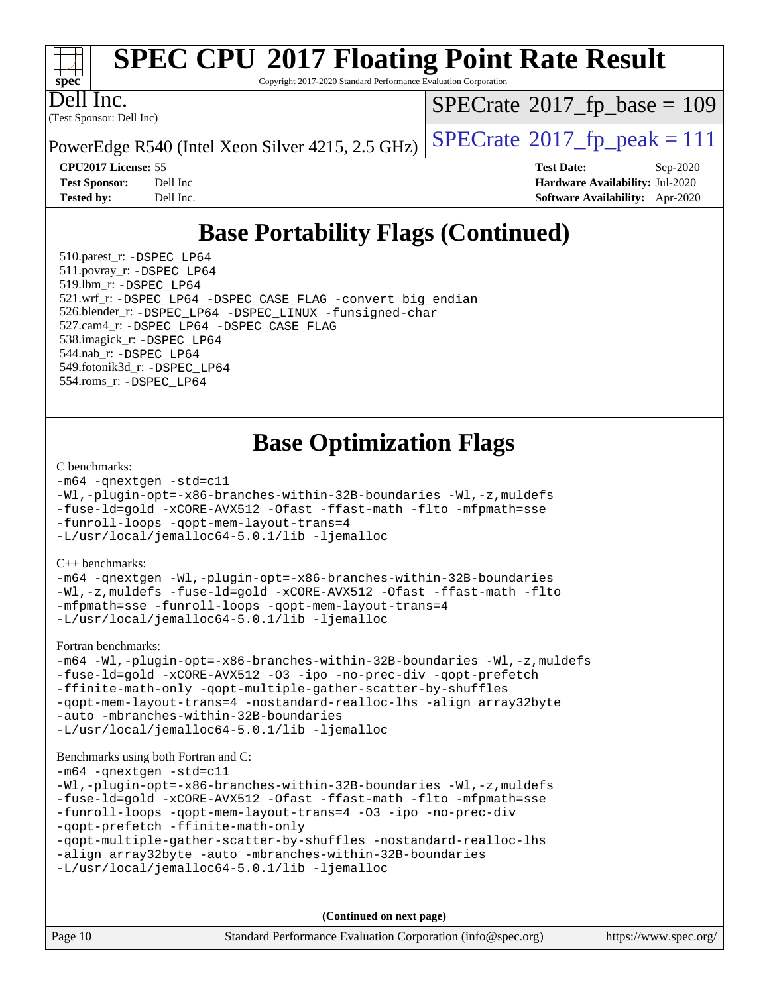

Copyright 2017-2020 Standard Performance Evaluation Corporation

Dell Inc.

(Test Sponsor: Dell Inc)

 $SPECrate$ <sup>®</sup>[2017\\_fp\\_base =](http://www.spec.org/auto/cpu2017/Docs/result-fields.html#SPECrate2017fpbase) 109

PowerEdge R540 (Intel Xeon Silver 4215, 2.5 GHz)  $\left|$  [SPECrate](http://www.spec.org/auto/cpu2017/Docs/result-fields.html#SPECrate2017fppeak)®[2017\\_fp\\_peak = 1](http://www.spec.org/auto/cpu2017/Docs/result-fields.html#SPECrate2017fppeak)11

**[CPU2017 License:](http://www.spec.org/auto/cpu2017/Docs/result-fields.html#CPU2017License)** 55 **[Test Date:](http://www.spec.org/auto/cpu2017/Docs/result-fields.html#TestDate)** Sep-2020 **[Test Sponsor:](http://www.spec.org/auto/cpu2017/Docs/result-fields.html#TestSponsor)** Dell Inc **[Hardware Availability:](http://www.spec.org/auto/cpu2017/Docs/result-fields.html#HardwareAvailability)** Jul-2020 **[Tested by:](http://www.spec.org/auto/cpu2017/Docs/result-fields.html#Testedby)** Dell Inc. **[Software Availability:](http://www.spec.org/auto/cpu2017/Docs/result-fields.html#SoftwareAvailability)** Apr-2020

## **[Base Portability Flags \(Continued\)](http://www.spec.org/auto/cpu2017/Docs/result-fields.html#BasePortabilityFlags)**

 510.parest\_r: [-DSPEC\\_LP64](http://www.spec.org/cpu2017/results/res2020q4/cpu2017-20200928-24071.flags.html#suite_basePORTABILITY510_parest_r_DSPEC_LP64) 511.povray\_r: [-DSPEC\\_LP64](http://www.spec.org/cpu2017/results/res2020q4/cpu2017-20200928-24071.flags.html#suite_basePORTABILITY511_povray_r_DSPEC_LP64) 519.lbm\_r: [-DSPEC\\_LP64](http://www.spec.org/cpu2017/results/res2020q4/cpu2017-20200928-24071.flags.html#suite_basePORTABILITY519_lbm_r_DSPEC_LP64) 521.wrf\_r: [-DSPEC\\_LP64](http://www.spec.org/cpu2017/results/res2020q4/cpu2017-20200928-24071.flags.html#suite_basePORTABILITY521_wrf_r_DSPEC_LP64) [-DSPEC\\_CASE\\_FLAG](http://www.spec.org/cpu2017/results/res2020q4/cpu2017-20200928-24071.flags.html#b521.wrf_r_baseCPORTABILITY_DSPEC_CASE_FLAG) [-convert big\\_endian](http://www.spec.org/cpu2017/results/res2020q4/cpu2017-20200928-24071.flags.html#user_baseFPORTABILITY521_wrf_r_convert_big_endian_c3194028bc08c63ac5d04de18c48ce6d347e4e562e8892b8bdbdc0214820426deb8554edfa529a3fb25a586e65a3d812c835984020483e7e73212c4d31a38223) 526.blender\_r: [-DSPEC\\_LP64](http://www.spec.org/cpu2017/results/res2020q4/cpu2017-20200928-24071.flags.html#suite_basePORTABILITY526_blender_r_DSPEC_LP64) [-DSPEC\\_LINUX](http://www.spec.org/cpu2017/results/res2020q4/cpu2017-20200928-24071.flags.html#b526.blender_r_baseCPORTABILITY_DSPEC_LINUX) [-funsigned-char](http://www.spec.org/cpu2017/results/res2020q4/cpu2017-20200928-24071.flags.html#user_baseCPORTABILITY526_blender_r_force_uchar_40c60f00ab013830e2dd6774aeded3ff59883ba5a1fc5fc14077f794d777847726e2a5858cbc7672e36e1b067e7e5c1d9a74f7176df07886a243d7cc18edfe67) 527.cam4\_r: [-DSPEC\\_LP64](http://www.spec.org/cpu2017/results/res2020q4/cpu2017-20200928-24071.flags.html#suite_basePORTABILITY527_cam4_r_DSPEC_LP64) [-DSPEC\\_CASE\\_FLAG](http://www.spec.org/cpu2017/results/res2020q4/cpu2017-20200928-24071.flags.html#b527.cam4_r_baseCPORTABILITY_DSPEC_CASE_FLAG) 538.imagick\_r: [-DSPEC\\_LP64](http://www.spec.org/cpu2017/results/res2020q4/cpu2017-20200928-24071.flags.html#suite_basePORTABILITY538_imagick_r_DSPEC_LP64) 544.nab\_r: [-DSPEC\\_LP64](http://www.spec.org/cpu2017/results/res2020q4/cpu2017-20200928-24071.flags.html#suite_basePORTABILITY544_nab_r_DSPEC_LP64) 549.fotonik3d\_r: [-DSPEC\\_LP64](http://www.spec.org/cpu2017/results/res2020q4/cpu2017-20200928-24071.flags.html#suite_basePORTABILITY549_fotonik3d_r_DSPEC_LP64) 554.roms\_r: [-DSPEC\\_LP64](http://www.spec.org/cpu2017/results/res2020q4/cpu2017-20200928-24071.flags.html#suite_basePORTABILITY554_roms_r_DSPEC_LP64)

## **[Base Optimization Flags](http://www.spec.org/auto/cpu2017/Docs/result-fields.html#BaseOptimizationFlags)**

#### [C benchmarks](http://www.spec.org/auto/cpu2017/Docs/result-fields.html#Cbenchmarks):

```
-m64 -qnextgen -std=c11
-Wl,-plugin-opt=-x86-branches-within-32B-boundaries -Wl,-z,muldefs
-fuse-ld=gold -xCORE-AVX512 -Ofast -ffast-math -flto -mfpmath=sse
-funroll-loops -qopt-mem-layout-trans=4
-L/usr/local/jemalloc64-5.0.1/lib -ljemalloc
```
[C++ benchmarks:](http://www.spec.org/auto/cpu2017/Docs/result-fields.html#CXXbenchmarks)

[-m64](http://www.spec.org/cpu2017/results/res2020q4/cpu2017-20200928-24071.flags.html#user_CXXbase_m64-icc) [-qnextgen](http://www.spec.org/cpu2017/results/res2020q4/cpu2017-20200928-24071.flags.html#user_CXXbase_f-qnextgen) [-Wl,-plugin-opt=-x86-branches-within-32B-boundaries](http://www.spec.org/cpu2017/results/res2020q4/cpu2017-20200928-24071.flags.html#user_CXXbase_f-x86-branches-within-32B-boundaries_0098b4e4317ae60947b7b728078a624952a08ac37a3c797dfb4ffeb399e0c61a9dd0f2f44ce917e9361fb9076ccb15e7824594512dd315205382d84209e912f3) [-Wl,-z,muldefs](http://www.spec.org/cpu2017/results/res2020q4/cpu2017-20200928-24071.flags.html#user_CXXbase_link_force_multiple1_b4cbdb97b34bdee9ceefcfe54f4c8ea74255f0b02a4b23e853cdb0e18eb4525ac79b5a88067c842dd0ee6996c24547a27a4b99331201badda8798ef8a743f577) [-fuse-ld=gold](http://www.spec.org/cpu2017/results/res2020q4/cpu2017-20200928-24071.flags.html#user_CXXbase_f-fuse-ld_920b3586e2b8c6e0748b9c84fa9b744736ba725a32cab14ad8f3d4ad28eecb2f59d1144823d2e17006539a88734fe1fc08fc3035f7676166309105a78aaabc32) [-xCORE-AVX512](http://www.spec.org/cpu2017/results/res2020q4/cpu2017-20200928-24071.flags.html#user_CXXbase_f-xCORE-AVX512) [-Ofast](http://www.spec.org/cpu2017/results/res2020q4/cpu2017-20200928-24071.flags.html#user_CXXbase_f-Ofast) [-ffast-math](http://www.spec.org/cpu2017/results/res2020q4/cpu2017-20200928-24071.flags.html#user_CXXbase_f-ffast-math) [-flto](http://www.spec.org/cpu2017/results/res2020q4/cpu2017-20200928-24071.flags.html#user_CXXbase_f-flto) [-mfpmath=sse](http://www.spec.org/cpu2017/results/res2020q4/cpu2017-20200928-24071.flags.html#user_CXXbase_f-mfpmath_70eb8fac26bde974f8ab713bc9086c5621c0b8d2f6c86f38af0bd7062540daf19db5f3a066d8c6684be05d84c9b6322eb3b5be6619d967835195b93d6c02afa1) [-funroll-loops](http://www.spec.org/cpu2017/results/res2020q4/cpu2017-20200928-24071.flags.html#user_CXXbase_f-funroll-loops) [-qopt-mem-layout-trans=4](http://www.spec.org/cpu2017/results/res2020q4/cpu2017-20200928-24071.flags.html#user_CXXbase_f-qopt-mem-layout-trans_fa39e755916c150a61361b7846f310bcdf6f04e385ef281cadf3647acec3f0ae266d1a1d22d972a7087a248fd4e6ca390a3634700869573d231a252c784941a8) [-L/usr/local/jemalloc64-5.0.1/lib](http://www.spec.org/cpu2017/results/res2020q4/cpu2017-20200928-24071.flags.html#user_CXXbase_jemalloc_link_path64_1_cc289568b1a6c0fd3b62c91b824c27fcb5af5e8098e6ad028160d21144ef1b8aef3170d2acf0bee98a8da324cfe4f67d0a3d0c4cc4673d993d694dc2a0df248b) [-ljemalloc](http://www.spec.org/cpu2017/results/res2020q4/cpu2017-20200928-24071.flags.html#user_CXXbase_jemalloc_link_lib_d1249b907c500fa1c0672f44f562e3d0f79738ae9e3c4a9c376d49f265a04b9c99b167ecedbf6711b3085be911c67ff61f150a17b3472be731631ba4d0471706)

[Fortran benchmarks](http://www.spec.org/auto/cpu2017/Docs/result-fields.html#Fortranbenchmarks):

[-m64](http://www.spec.org/cpu2017/results/res2020q4/cpu2017-20200928-24071.flags.html#user_FCbase_m64-icc) [-Wl,-plugin-opt=-x86-branches-within-32B-boundaries](http://www.spec.org/cpu2017/results/res2020q4/cpu2017-20200928-24071.flags.html#user_FCbase_f-x86-branches-within-32B-boundaries_0098b4e4317ae60947b7b728078a624952a08ac37a3c797dfb4ffeb399e0c61a9dd0f2f44ce917e9361fb9076ccb15e7824594512dd315205382d84209e912f3) [-Wl,-z,muldefs](http://www.spec.org/cpu2017/results/res2020q4/cpu2017-20200928-24071.flags.html#user_FCbase_link_force_multiple1_b4cbdb97b34bdee9ceefcfe54f4c8ea74255f0b02a4b23e853cdb0e18eb4525ac79b5a88067c842dd0ee6996c24547a27a4b99331201badda8798ef8a743f577) [-fuse-ld=gold](http://www.spec.org/cpu2017/results/res2020q4/cpu2017-20200928-24071.flags.html#user_FCbase_f-fuse-ld_920b3586e2b8c6e0748b9c84fa9b744736ba725a32cab14ad8f3d4ad28eecb2f59d1144823d2e17006539a88734fe1fc08fc3035f7676166309105a78aaabc32) [-xCORE-AVX512](http://www.spec.org/cpu2017/results/res2020q4/cpu2017-20200928-24071.flags.html#user_FCbase_f-xCORE-AVX512) [-O3](http://www.spec.org/cpu2017/results/res2020q4/cpu2017-20200928-24071.flags.html#user_FCbase_f-O3) [-ipo](http://www.spec.org/cpu2017/results/res2020q4/cpu2017-20200928-24071.flags.html#user_FCbase_f-ipo) [-no-prec-div](http://www.spec.org/cpu2017/results/res2020q4/cpu2017-20200928-24071.flags.html#user_FCbase_f-no-prec-div) [-qopt-prefetch](http://www.spec.org/cpu2017/results/res2020q4/cpu2017-20200928-24071.flags.html#user_FCbase_f-qopt-prefetch) [-ffinite-math-only](http://www.spec.org/cpu2017/results/res2020q4/cpu2017-20200928-24071.flags.html#user_FCbase_f_finite_math_only_cb91587bd2077682c4b38af759c288ed7c732db004271a9512da14a4f8007909a5f1427ecbf1a0fb78ff2a814402c6114ac565ca162485bbcae155b5e4258871) [-qopt-multiple-gather-scatter-by-shuffles](http://www.spec.org/cpu2017/results/res2020q4/cpu2017-20200928-24071.flags.html#user_FCbase_f-qopt-multiple-gather-scatter-by-shuffles) [-qopt-mem-layout-trans=4](http://www.spec.org/cpu2017/results/res2020q4/cpu2017-20200928-24071.flags.html#user_FCbase_f-qopt-mem-layout-trans_fa39e755916c150a61361b7846f310bcdf6f04e385ef281cadf3647acec3f0ae266d1a1d22d972a7087a248fd4e6ca390a3634700869573d231a252c784941a8) [-nostandard-realloc-lhs](http://www.spec.org/cpu2017/results/res2020q4/cpu2017-20200928-24071.flags.html#user_FCbase_f_2003_std_realloc_82b4557e90729c0f113870c07e44d33d6f5a304b4f63d4c15d2d0f1fab99f5daaed73bdb9275d9ae411527f28b936061aa8b9c8f2d63842963b95c9dd6426b8a) [-align array32byte](http://www.spec.org/cpu2017/results/res2020q4/cpu2017-20200928-24071.flags.html#user_FCbase_align_array32byte_b982fe038af199962ba9a80c053b8342c548c85b40b8e86eb3cc33dee0d7986a4af373ac2d51c3f7cf710a18d62fdce2948f201cd044323541f22fc0fffc51b6) [-auto](http://www.spec.org/cpu2017/results/res2020q4/cpu2017-20200928-24071.flags.html#user_FCbase_f-auto) [-mbranches-within-32B-boundaries](http://www.spec.org/cpu2017/results/res2020q4/cpu2017-20200928-24071.flags.html#user_FCbase_f-mbranches-within-32B-boundaries) [-L/usr/local/jemalloc64-5.0.1/lib](http://www.spec.org/cpu2017/results/res2020q4/cpu2017-20200928-24071.flags.html#user_FCbase_jemalloc_link_path64_1_cc289568b1a6c0fd3b62c91b824c27fcb5af5e8098e6ad028160d21144ef1b8aef3170d2acf0bee98a8da324cfe4f67d0a3d0c4cc4673d993d694dc2a0df248b) [-ljemalloc](http://www.spec.org/cpu2017/results/res2020q4/cpu2017-20200928-24071.flags.html#user_FCbase_jemalloc_link_lib_d1249b907c500fa1c0672f44f562e3d0f79738ae9e3c4a9c376d49f265a04b9c99b167ecedbf6711b3085be911c67ff61f150a17b3472be731631ba4d0471706)

#### [Benchmarks using both Fortran and C](http://www.spec.org/auto/cpu2017/Docs/result-fields.html#BenchmarksusingbothFortranandC):

```
-m64 -qnextgen -std=c11
-Wl,-plugin-opt=-x86-branches-within-32B-boundaries -Wl,-z,muldefs
-fuse-ld=gold -xCORE-AVX512 -Ofast -ffast-math -flto -mfpmath=sse
-funroll-loops -qopt-mem-layout-trans=4 -O3 -ipo -no-prec-div
-qopt-prefetch -ffinite-math-only
-qopt-multiple-gather-scatter-by-shuffles -nostandard-realloc-lhs
-align array32byte -auto -mbranches-within-32B-boundaries
-L/usr/local/jemalloc64-5.0.1/lib -ljemalloc
```
**(Continued on next page)**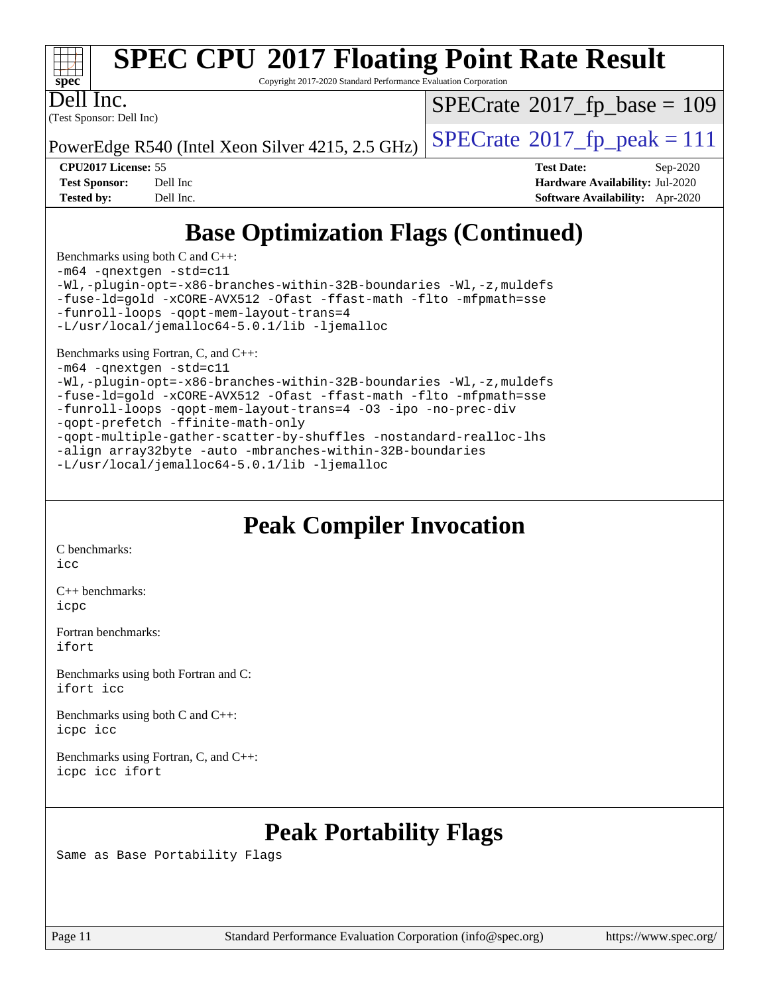

Copyright 2017-2020 Standard Performance Evaluation Corporation

(Test Sponsor: Dell Inc) Dell Inc.

 $SPECTate$ <sup>®</sup>[2017\\_fp\\_base =](http://www.spec.org/auto/cpu2017/Docs/result-fields.html#SPECrate2017fpbase) 109

PowerEdge R540 (Intel Xeon Silver 4215, 2.5 GHz)  $\vert$  [SPECrate](http://www.spec.org/auto/cpu2017/Docs/result-fields.html#SPECrate2017fppeak)®[2017\\_fp\\_peak = 1](http://www.spec.org/auto/cpu2017/Docs/result-fields.html#SPECrate2017fppeak)11

**[CPU2017 License:](http://www.spec.org/auto/cpu2017/Docs/result-fields.html#CPU2017License)** 55 **[Test Date:](http://www.spec.org/auto/cpu2017/Docs/result-fields.html#TestDate)** Sep-2020 **[Test Sponsor:](http://www.spec.org/auto/cpu2017/Docs/result-fields.html#TestSponsor)** Dell Inc **[Hardware Availability:](http://www.spec.org/auto/cpu2017/Docs/result-fields.html#HardwareAvailability)** Jul-2020 **[Tested by:](http://www.spec.org/auto/cpu2017/Docs/result-fields.html#Testedby)** Dell Inc. **[Software Availability:](http://www.spec.org/auto/cpu2017/Docs/result-fields.html#SoftwareAvailability)** Apr-2020

## **[Base Optimization Flags \(Continued\)](http://www.spec.org/auto/cpu2017/Docs/result-fields.html#BaseOptimizationFlags)**

[Benchmarks using both C and C++](http://www.spec.org/auto/cpu2017/Docs/result-fields.html#BenchmarksusingbothCandCXX):

[-m64](http://www.spec.org/cpu2017/results/res2020q4/cpu2017-20200928-24071.flags.html#user_CC_CXXbase_m64-icc) [-qnextgen](http://www.spec.org/cpu2017/results/res2020q4/cpu2017-20200928-24071.flags.html#user_CC_CXXbase_f-qnextgen) [-std=c11](http://www.spec.org/cpu2017/results/res2020q4/cpu2017-20200928-24071.flags.html#user_CC_CXXbase_std-icc-std_0e1c27790398a4642dfca32ffe6c27b5796f9c2d2676156f2e42c9c44eaad0c049b1cdb667a270c34d979996257aeb8fc440bfb01818dbc9357bd9d174cb8524) [-Wl,-plugin-opt=-x86-branches-within-32B-boundaries](http://www.spec.org/cpu2017/results/res2020q4/cpu2017-20200928-24071.flags.html#user_CC_CXXbase_f-x86-branches-within-32B-boundaries_0098b4e4317ae60947b7b728078a624952a08ac37a3c797dfb4ffeb399e0c61a9dd0f2f44ce917e9361fb9076ccb15e7824594512dd315205382d84209e912f3) [-Wl,-z,muldefs](http://www.spec.org/cpu2017/results/res2020q4/cpu2017-20200928-24071.flags.html#user_CC_CXXbase_link_force_multiple1_b4cbdb97b34bdee9ceefcfe54f4c8ea74255f0b02a4b23e853cdb0e18eb4525ac79b5a88067c842dd0ee6996c24547a27a4b99331201badda8798ef8a743f577) [-fuse-ld=gold](http://www.spec.org/cpu2017/results/res2020q4/cpu2017-20200928-24071.flags.html#user_CC_CXXbase_f-fuse-ld_920b3586e2b8c6e0748b9c84fa9b744736ba725a32cab14ad8f3d4ad28eecb2f59d1144823d2e17006539a88734fe1fc08fc3035f7676166309105a78aaabc32) [-xCORE-AVX512](http://www.spec.org/cpu2017/results/res2020q4/cpu2017-20200928-24071.flags.html#user_CC_CXXbase_f-xCORE-AVX512) [-Ofast](http://www.spec.org/cpu2017/results/res2020q4/cpu2017-20200928-24071.flags.html#user_CC_CXXbase_f-Ofast) [-ffast-math](http://www.spec.org/cpu2017/results/res2020q4/cpu2017-20200928-24071.flags.html#user_CC_CXXbase_f-ffast-math) [-flto](http://www.spec.org/cpu2017/results/res2020q4/cpu2017-20200928-24071.flags.html#user_CC_CXXbase_f-flto) [-mfpmath=sse](http://www.spec.org/cpu2017/results/res2020q4/cpu2017-20200928-24071.flags.html#user_CC_CXXbase_f-mfpmath_70eb8fac26bde974f8ab713bc9086c5621c0b8d2f6c86f38af0bd7062540daf19db5f3a066d8c6684be05d84c9b6322eb3b5be6619d967835195b93d6c02afa1) [-funroll-loops](http://www.spec.org/cpu2017/results/res2020q4/cpu2017-20200928-24071.flags.html#user_CC_CXXbase_f-funroll-loops) [-qopt-mem-layout-trans=4](http://www.spec.org/cpu2017/results/res2020q4/cpu2017-20200928-24071.flags.html#user_CC_CXXbase_f-qopt-mem-layout-trans_fa39e755916c150a61361b7846f310bcdf6f04e385ef281cadf3647acec3f0ae266d1a1d22d972a7087a248fd4e6ca390a3634700869573d231a252c784941a8)

[-L/usr/local/jemalloc64-5.0.1/lib](http://www.spec.org/cpu2017/results/res2020q4/cpu2017-20200928-24071.flags.html#user_CC_CXXbase_jemalloc_link_path64_1_cc289568b1a6c0fd3b62c91b824c27fcb5af5e8098e6ad028160d21144ef1b8aef3170d2acf0bee98a8da324cfe4f67d0a3d0c4cc4673d993d694dc2a0df248b) [-ljemalloc](http://www.spec.org/cpu2017/results/res2020q4/cpu2017-20200928-24071.flags.html#user_CC_CXXbase_jemalloc_link_lib_d1249b907c500fa1c0672f44f562e3d0f79738ae9e3c4a9c376d49f265a04b9c99b167ecedbf6711b3085be911c67ff61f150a17b3472be731631ba4d0471706)

#### [Benchmarks using Fortran, C, and C++:](http://www.spec.org/auto/cpu2017/Docs/result-fields.html#BenchmarksusingFortranCandCXX)

[-m64](http://www.spec.org/cpu2017/results/res2020q4/cpu2017-20200928-24071.flags.html#user_CC_CXX_FCbase_m64-icc) [-qnextgen](http://www.spec.org/cpu2017/results/res2020q4/cpu2017-20200928-24071.flags.html#user_CC_CXX_FCbase_f-qnextgen) [-std=c11](http://www.spec.org/cpu2017/results/res2020q4/cpu2017-20200928-24071.flags.html#user_CC_CXX_FCbase_std-icc-std_0e1c27790398a4642dfca32ffe6c27b5796f9c2d2676156f2e42c9c44eaad0c049b1cdb667a270c34d979996257aeb8fc440bfb01818dbc9357bd9d174cb8524)

[-Wl,-plugin-opt=-x86-branches-within-32B-boundaries](http://www.spec.org/cpu2017/results/res2020q4/cpu2017-20200928-24071.flags.html#user_CC_CXX_FCbase_f-x86-branches-within-32B-boundaries_0098b4e4317ae60947b7b728078a624952a08ac37a3c797dfb4ffeb399e0c61a9dd0f2f44ce917e9361fb9076ccb15e7824594512dd315205382d84209e912f3) [-Wl,-z,muldefs](http://www.spec.org/cpu2017/results/res2020q4/cpu2017-20200928-24071.flags.html#user_CC_CXX_FCbase_link_force_multiple1_b4cbdb97b34bdee9ceefcfe54f4c8ea74255f0b02a4b23e853cdb0e18eb4525ac79b5a88067c842dd0ee6996c24547a27a4b99331201badda8798ef8a743f577) [-fuse-ld=gold](http://www.spec.org/cpu2017/results/res2020q4/cpu2017-20200928-24071.flags.html#user_CC_CXX_FCbase_f-fuse-ld_920b3586e2b8c6e0748b9c84fa9b744736ba725a32cab14ad8f3d4ad28eecb2f59d1144823d2e17006539a88734fe1fc08fc3035f7676166309105a78aaabc32) [-xCORE-AVX512](http://www.spec.org/cpu2017/results/res2020q4/cpu2017-20200928-24071.flags.html#user_CC_CXX_FCbase_f-xCORE-AVX512) [-Ofast](http://www.spec.org/cpu2017/results/res2020q4/cpu2017-20200928-24071.flags.html#user_CC_CXX_FCbase_f-Ofast) [-ffast-math](http://www.spec.org/cpu2017/results/res2020q4/cpu2017-20200928-24071.flags.html#user_CC_CXX_FCbase_f-ffast-math) [-flto](http://www.spec.org/cpu2017/results/res2020q4/cpu2017-20200928-24071.flags.html#user_CC_CXX_FCbase_f-flto) [-mfpmath=sse](http://www.spec.org/cpu2017/results/res2020q4/cpu2017-20200928-24071.flags.html#user_CC_CXX_FCbase_f-mfpmath_70eb8fac26bde974f8ab713bc9086c5621c0b8d2f6c86f38af0bd7062540daf19db5f3a066d8c6684be05d84c9b6322eb3b5be6619d967835195b93d6c02afa1) [-funroll-loops](http://www.spec.org/cpu2017/results/res2020q4/cpu2017-20200928-24071.flags.html#user_CC_CXX_FCbase_f-funroll-loops) [-qopt-mem-layout-trans=4](http://www.spec.org/cpu2017/results/res2020q4/cpu2017-20200928-24071.flags.html#user_CC_CXX_FCbase_f-qopt-mem-layout-trans_fa39e755916c150a61361b7846f310bcdf6f04e385ef281cadf3647acec3f0ae266d1a1d22d972a7087a248fd4e6ca390a3634700869573d231a252c784941a8) [-O3](http://www.spec.org/cpu2017/results/res2020q4/cpu2017-20200928-24071.flags.html#user_CC_CXX_FCbase_f-O3) [-ipo](http://www.spec.org/cpu2017/results/res2020q4/cpu2017-20200928-24071.flags.html#user_CC_CXX_FCbase_f-ipo) [-no-prec-div](http://www.spec.org/cpu2017/results/res2020q4/cpu2017-20200928-24071.flags.html#user_CC_CXX_FCbase_f-no-prec-div) [-qopt-prefetch](http://www.spec.org/cpu2017/results/res2020q4/cpu2017-20200928-24071.flags.html#user_CC_CXX_FCbase_f-qopt-prefetch) [-ffinite-math-only](http://www.spec.org/cpu2017/results/res2020q4/cpu2017-20200928-24071.flags.html#user_CC_CXX_FCbase_f_finite_math_only_cb91587bd2077682c4b38af759c288ed7c732db004271a9512da14a4f8007909a5f1427ecbf1a0fb78ff2a814402c6114ac565ca162485bbcae155b5e4258871) [-qopt-multiple-gather-scatter-by-shuffles](http://www.spec.org/cpu2017/results/res2020q4/cpu2017-20200928-24071.flags.html#user_CC_CXX_FCbase_f-qopt-multiple-gather-scatter-by-shuffles) [-nostandard-realloc-lhs](http://www.spec.org/cpu2017/results/res2020q4/cpu2017-20200928-24071.flags.html#user_CC_CXX_FCbase_f_2003_std_realloc_82b4557e90729c0f113870c07e44d33d6f5a304b4f63d4c15d2d0f1fab99f5daaed73bdb9275d9ae411527f28b936061aa8b9c8f2d63842963b95c9dd6426b8a) [-align array32byte](http://www.spec.org/cpu2017/results/res2020q4/cpu2017-20200928-24071.flags.html#user_CC_CXX_FCbase_align_array32byte_b982fe038af199962ba9a80c053b8342c548c85b40b8e86eb3cc33dee0d7986a4af373ac2d51c3f7cf710a18d62fdce2948f201cd044323541f22fc0fffc51b6) [-auto](http://www.spec.org/cpu2017/results/res2020q4/cpu2017-20200928-24071.flags.html#user_CC_CXX_FCbase_f-auto) [-mbranches-within-32B-boundaries](http://www.spec.org/cpu2017/results/res2020q4/cpu2017-20200928-24071.flags.html#user_CC_CXX_FCbase_f-mbranches-within-32B-boundaries) [-L/usr/local/jemalloc64-5.0.1/lib](http://www.spec.org/cpu2017/results/res2020q4/cpu2017-20200928-24071.flags.html#user_CC_CXX_FCbase_jemalloc_link_path64_1_cc289568b1a6c0fd3b62c91b824c27fcb5af5e8098e6ad028160d21144ef1b8aef3170d2acf0bee98a8da324cfe4f67d0a3d0c4cc4673d993d694dc2a0df248b) [-ljemalloc](http://www.spec.org/cpu2017/results/res2020q4/cpu2017-20200928-24071.flags.html#user_CC_CXX_FCbase_jemalloc_link_lib_d1249b907c500fa1c0672f44f562e3d0f79738ae9e3c4a9c376d49f265a04b9c99b167ecedbf6711b3085be911c67ff61f150a17b3472be731631ba4d0471706)

## **[Peak Compiler Invocation](http://www.spec.org/auto/cpu2017/Docs/result-fields.html#PeakCompilerInvocation)**

[C benchmarks](http://www.spec.org/auto/cpu2017/Docs/result-fields.html#Cbenchmarks): [icc](http://www.spec.org/cpu2017/results/res2020q4/cpu2017-20200928-24071.flags.html#user_CCpeak_intel_icc_66fc1ee009f7361af1fbd72ca7dcefbb700085f36577c54f309893dd4ec40d12360134090235512931783d35fd58c0460139e722d5067c5574d8eaf2b3e37e92)

[C++ benchmarks:](http://www.spec.org/auto/cpu2017/Docs/result-fields.html#CXXbenchmarks) [icpc](http://www.spec.org/cpu2017/results/res2020q4/cpu2017-20200928-24071.flags.html#user_CXXpeak_intel_icpc_c510b6838c7f56d33e37e94d029a35b4a7bccf4766a728ee175e80a419847e808290a9b78be685c44ab727ea267ec2f070ec5dc83b407c0218cded6866a35d07)

[Fortran benchmarks](http://www.spec.org/auto/cpu2017/Docs/result-fields.html#Fortranbenchmarks): [ifort](http://www.spec.org/cpu2017/results/res2020q4/cpu2017-20200928-24071.flags.html#user_FCpeak_intel_ifort_8111460550e3ca792625aed983ce982f94888b8b503583aa7ba2b8303487b4d8a21a13e7191a45c5fd58ff318f48f9492884d4413fa793fd88dd292cad7027ca)

[Benchmarks using both Fortran and C](http://www.spec.org/auto/cpu2017/Docs/result-fields.html#BenchmarksusingbothFortranandC): [ifort](http://www.spec.org/cpu2017/results/res2020q4/cpu2017-20200928-24071.flags.html#user_CC_FCpeak_intel_ifort_8111460550e3ca792625aed983ce982f94888b8b503583aa7ba2b8303487b4d8a21a13e7191a45c5fd58ff318f48f9492884d4413fa793fd88dd292cad7027ca) [icc](http://www.spec.org/cpu2017/results/res2020q4/cpu2017-20200928-24071.flags.html#user_CC_FCpeak_intel_icc_66fc1ee009f7361af1fbd72ca7dcefbb700085f36577c54f309893dd4ec40d12360134090235512931783d35fd58c0460139e722d5067c5574d8eaf2b3e37e92)

[Benchmarks using both C and C++](http://www.spec.org/auto/cpu2017/Docs/result-fields.html#BenchmarksusingbothCandCXX): [icpc](http://www.spec.org/cpu2017/results/res2020q4/cpu2017-20200928-24071.flags.html#user_CC_CXXpeak_intel_icpc_c510b6838c7f56d33e37e94d029a35b4a7bccf4766a728ee175e80a419847e808290a9b78be685c44ab727ea267ec2f070ec5dc83b407c0218cded6866a35d07) [icc](http://www.spec.org/cpu2017/results/res2020q4/cpu2017-20200928-24071.flags.html#user_CC_CXXpeak_intel_icc_66fc1ee009f7361af1fbd72ca7dcefbb700085f36577c54f309893dd4ec40d12360134090235512931783d35fd58c0460139e722d5067c5574d8eaf2b3e37e92)

[Benchmarks using Fortran, C, and C++:](http://www.spec.org/auto/cpu2017/Docs/result-fields.html#BenchmarksusingFortranCandCXX) [icpc](http://www.spec.org/cpu2017/results/res2020q4/cpu2017-20200928-24071.flags.html#user_CC_CXX_FCpeak_intel_icpc_c510b6838c7f56d33e37e94d029a35b4a7bccf4766a728ee175e80a419847e808290a9b78be685c44ab727ea267ec2f070ec5dc83b407c0218cded6866a35d07) [icc](http://www.spec.org/cpu2017/results/res2020q4/cpu2017-20200928-24071.flags.html#user_CC_CXX_FCpeak_intel_icc_66fc1ee009f7361af1fbd72ca7dcefbb700085f36577c54f309893dd4ec40d12360134090235512931783d35fd58c0460139e722d5067c5574d8eaf2b3e37e92) [ifort](http://www.spec.org/cpu2017/results/res2020q4/cpu2017-20200928-24071.flags.html#user_CC_CXX_FCpeak_intel_ifort_8111460550e3ca792625aed983ce982f94888b8b503583aa7ba2b8303487b4d8a21a13e7191a45c5fd58ff318f48f9492884d4413fa793fd88dd292cad7027ca)

## **[Peak Portability Flags](http://www.spec.org/auto/cpu2017/Docs/result-fields.html#PeakPortabilityFlags)**

Same as Base Portability Flags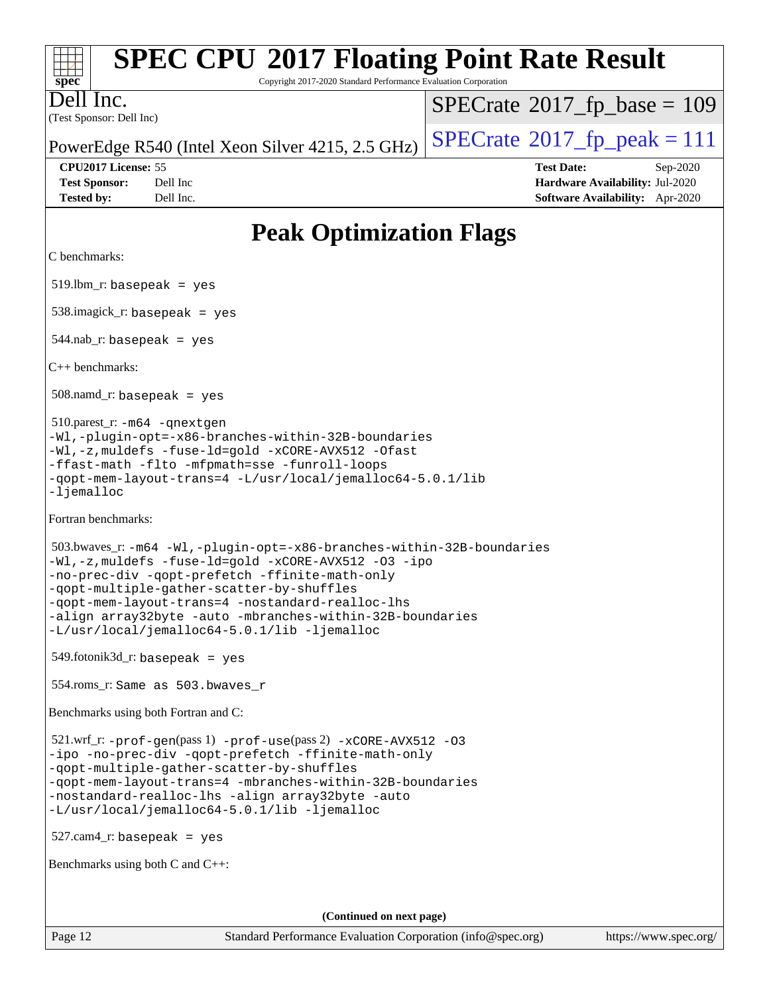| <b>SPEC CPU®2017 Floating Point Rate Result</b><br>Copyright 2017-2020 Standard Performance Evaluation Corporation<br>$\mathbf{Spec}^*$                                                                                                                                                                                                                                                        |                                                                                                     |  |  |  |  |
|------------------------------------------------------------------------------------------------------------------------------------------------------------------------------------------------------------------------------------------------------------------------------------------------------------------------------------------------------------------------------------------------|-----------------------------------------------------------------------------------------------------|--|--|--|--|
| ell Inc.<br>(Test Sponsor: Dell Inc)                                                                                                                                                                                                                                                                                                                                                           | $SPECrate^{\circ}2017$ fp base = 109                                                                |  |  |  |  |
| PowerEdge R540 (Intel Xeon Silver 4215, 2.5 GHz)                                                                                                                                                                                                                                                                                                                                               | $SPECrate^{\circ}2017$ _fp_peak = 111                                                               |  |  |  |  |
| CPU2017 License: 55<br><b>Test Sponsor:</b><br>Dell Inc<br><b>Tested by:</b><br>Dell Inc.                                                                                                                                                                                                                                                                                                      | <b>Test Date:</b><br>Sep-2020<br>Hardware Availability: Jul-2020<br>Software Availability: Apr-2020 |  |  |  |  |
| <b>Peak Optimization Flags</b>                                                                                                                                                                                                                                                                                                                                                                 |                                                                                                     |  |  |  |  |
| C benchmarks:                                                                                                                                                                                                                                                                                                                                                                                  |                                                                                                     |  |  |  |  |
| $519.$ lbm_r: basepeak = yes                                                                                                                                                                                                                                                                                                                                                                   |                                                                                                     |  |  |  |  |
| $538.\text{imagek}_r$ : basepeak = yes                                                                                                                                                                                                                                                                                                                                                         |                                                                                                     |  |  |  |  |
| $544.nab$ <sub>r</sub> : basepeak = yes                                                                                                                                                                                                                                                                                                                                                        |                                                                                                     |  |  |  |  |
| $C_{++}$ benchmarks:                                                                                                                                                                                                                                                                                                                                                                           |                                                                                                     |  |  |  |  |
| $508$ .namd_r: basepeak = yes                                                                                                                                                                                                                                                                                                                                                                  |                                                                                                     |  |  |  |  |
| 510.parest_r: -m64 -qnextgen<br>-Wl,-plugin-opt=-x86-branches-within-32B-boundaries<br>-Wl,-z,muldefs -fuse-ld=gold -xCORE-AVX512 -Ofast<br>-ffast-math -flto -mfpmath=sse -funroll-loops<br>-qopt-mem-layout-trans=4 -L/usr/local/jemalloc64-5.0.1/lib<br>-ljemalloc                                                                                                                          |                                                                                                     |  |  |  |  |
| Fortran benchmarks:                                                                                                                                                                                                                                                                                                                                                                            |                                                                                                     |  |  |  |  |
| 503.bwaves_r: -m64 -Wl,-plugin-opt=-x86-branches-within-32B-boundaries<br>-Wl,-z, muldefs -fuse-ld=gold -xCORE-AVX512 -03 -ipo<br>-no-prec-div -qopt-prefetch -ffinite-math-only<br>-qopt-multiple-gather-scatter-by-shuffles<br>-qopt-mem-layout-trans=4 -nostandard-realloc-lhs<br>-align array32byte -auto -mbranches-within-32B-boundaries<br>-L/usr/local/jemalloc64-5.0.1/lib -ljemalloc |                                                                                                     |  |  |  |  |
| $549$ .fotonik $3d$ _r: basepeak = yes                                                                                                                                                                                                                                                                                                                                                         |                                                                                                     |  |  |  |  |
| 554.roms_r: Same as 503.bwaves r                                                                                                                                                                                                                                                                                                                                                               |                                                                                                     |  |  |  |  |
| Benchmarks using both Fortran and C:                                                                                                                                                                                                                                                                                                                                                           |                                                                                                     |  |  |  |  |
| $521.wrf_r$ : $-prof-gen(pass 1)$ $-prof-use(pass 2)$ $-xCORE-AVX512$ -03<br>-ipo -no-prec-div -qopt-prefetch -ffinite-math-only<br>-qopt-multiple-gather-scatter-by-shuffles<br>-qopt-mem-layout-trans=4 -mbranches-within-32B-boundaries<br>-nostandard-realloc-lhs -align array32byte -auto<br>-L/usr/local/jemalloc64-5.0.1/lib -ljemalloc                                                 |                                                                                                     |  |  |  |  |
| $527.cam4_r$ : basepeak = yes                                                                                                                                                                                                                                                                                                                                                                  |                                                                                                     |  |  |  |  |
| Benchmarks using both C and C++:                                                                                                                                                                                                                                                                                                                                                               |                                                                                                     |  |  |  |  |
|                                                                                                                                                                                                                                                                                                                                                                                                |                                                                                                     |  |  |  |  |
| (Continued on next page)                                                                                                                                                                                                                                                                                                                                                                       |                                                                                                     |  |  |  |  |